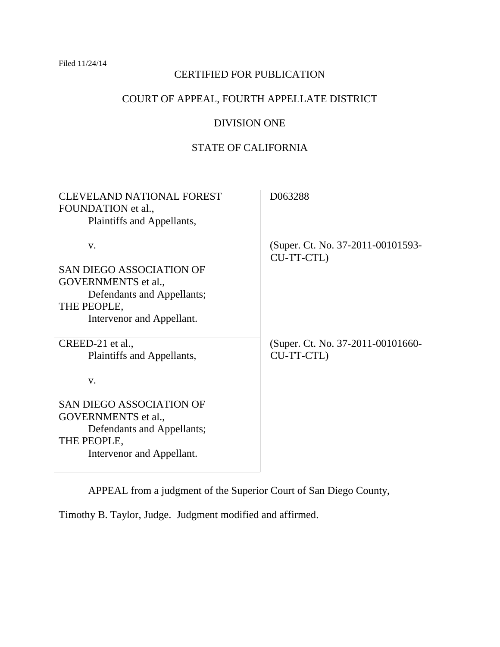Filed 11/24/14

# CERTIFIED FOR PUBLICATION

# COURT OF APPEAL, FOURTH APPELLATE DISTRICT

# DIVISION ONE

# STATE OF CALIFORNIA

| <b>CLEVELAND NATIONAL FOREST</b><br>FOUNDATION et al.,<br>Plaintiffs and Appellants,                                                   | D063288                                         |
|----------------------------------------------------------------------------------------------------------------------------------------|-------------------------------------------------|
| V.<br><b>SAN DIEGO ASSOCIATION OF</b><br>GOVERNMENTS et al.,<br>Defendants and Appellants;<br>THE PEOPLE,<br>Intervenor and Appellant. | (Super. Ct. No. 37-2011-00101593-<br>CU-TT-CTL) |
| CREED-21 et al.,<br>Plaintiffs and Appellants,<br>V.                                                                                   | (Super. Ct. No. 37-2011-00101660-<br>CU-TT-CTL) |
| <b>SAN DIEGO ASSOCIATION OF</b><br>GOVERNMENTS et al.,<br>Defendants and Appellants;<br>THE PEOPLE,<br>Intervenor and Appellant.       |                                                 |

APPEAL from a judgment of the Superior Court of San Diego County,

Timothy B. Taylor, Judge. Judgment modified and affirmed.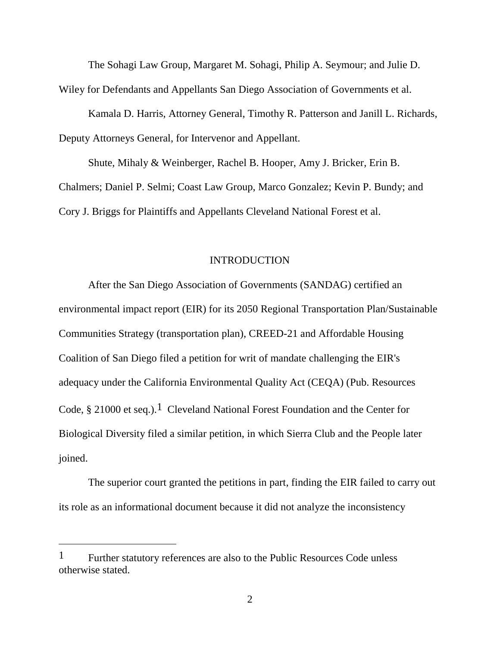The Sohagi Law Group, Margaret M. Sohagi, Philip A. Seymour; and Julie D.

Wiley for Defendants and Appellants San Diego Association of Governments et al.

Kamala D. Harris, Attorney General, Timothy R. Patterson and Janill L. Richards, Deputy Attorneys General, for Intervenor and Appellant.

Shute, Mihaly & Weinberger, Rachel B. Hooper, Amy J. Bricker, Erin B. Chalmers; Daniel P. Selmi; Coast Law Group, Marco Gonzalez; Kevin P. Bundy; and Cory J. Briggs for Plaintiffs and Appellants Cleveland National Forest et al.

### INTRODUCTION

After the San Diego Association of Governments (SANDAG) certified an environmental impact report (EIR) for its 2050 Regional Transportation Plan/Sustainable Communities Strategy (transportation plan), CREED-21 and Affordable Housing Coalition of San Diego filed a petition for writ of mandate challenging the EIR's adequacy under the California Environmental Quality Act (CEQA) (Pub. Resources Code,  $\S 21000$  et seq.).<sup>1</sup> Cleveland National Forest Foundation and the Center for Biological Diversity filed a similar petition, in which Sierra Club and the People later joined.

The superior court granted the petitions in part, finding the EIR failed to carry out its role as an informational document because it did not analyze the inconsistency

<sup>&</sup>lt;sup>1</sup> Further statutory references are also to the Public Resources Code unless otherwise stated.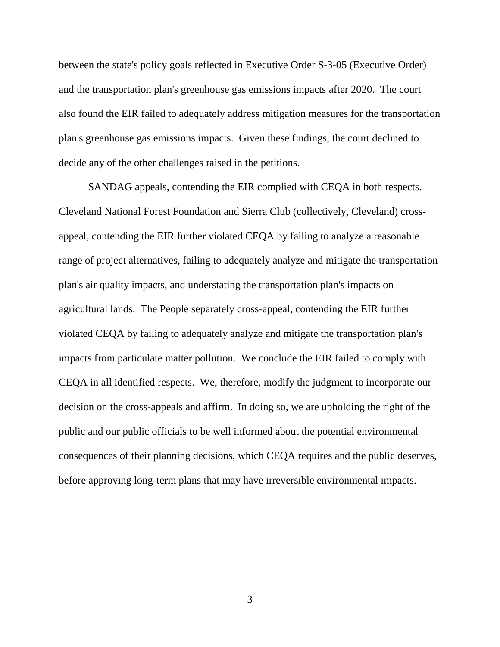between the state's policy goals reflected in Executive Order S-3-05 (Executive Order) and the transportation plan's greenhouse gas emissions impacts after 2020. The court also found the EIR failed to adequately address mitigation measures for the transportation plan's greenhouse gas emissions impacts. Given these findings, the court declined to decide any of the other challenges raised in the petitions.

SANDAG appeals, contending the EIR complied with CEQA in both respects. Cleveland National Forest Foundation and Sierra Club (collectively, Cleveland) crossappeal, contending the EIR further violated CEQA by failing to analyze a reasonable range of project alternatives, failing to adequately analyze and mitigate the transportation plan's air quality impacts, and understating the transportation plan's impacts on agricultural lands. The People separately cross-appeal, contending the EIR further violated CEQA by failing to adequately analyze and mitigate the transportation plan's impacts from particulate matter pollution. We conclude the EIR failed to comply with CEQA in all identified respects. We, therefore, modify the judgment to incorporate our decision on the cross-appeals and affirm. In doing so, we are upholding the right of the public and our public officials to be well informed about the potential environmental consequences of their planning decisions, which CEQA requires and the public deserves, before approving long-term plans that may have irreversible environmental impacts.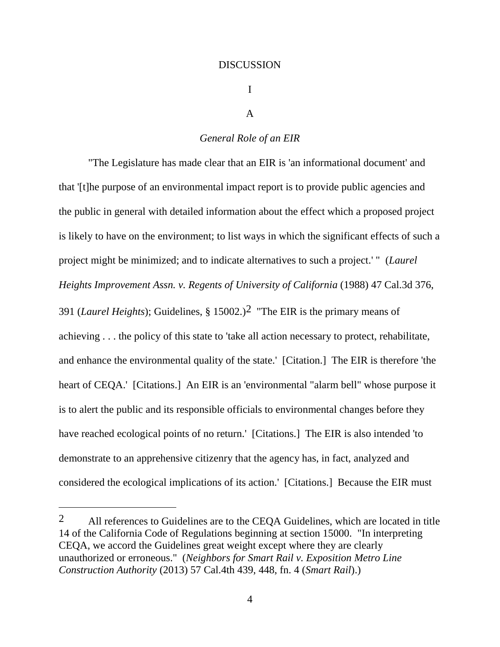#### DISCUSSION

I

#### A

#### *General Role of an EIR*

"The Legislature has made clear that an EIR is 'an informational document' and that '[t]he purpose of an environmental impact report is to provide public agencies and the public in general with detailed information about the effect which a proposed project is likely to have on the environment; to list ways in which the significant effects of such a project might be minimized; and to indicate alternatives to such a project.' " (*Laurel Heights Improvement Assn. v. Regents of University of California* (1988) 47 Cal.3d 376, 391 (*Laurel Heights*); Guidelines, § 15002.)2 "The EIR is the primary means of achieving . . . the policy of this state to 'take all action necessary to protect, rehabilitate, and enhance the environmental quality of the state.' [Citation.] The EIR is therefore 'the heart of CEQA.' [Citations.] An EIR is an 'environmental "alarm bell" whose purpose it is to alert the public and its responsible officials to environmental changes before they have reached ecological points of no return.' [Citations.] The EIR is also intended 'to demonstrate to an apprehensive citizenry that the agency has, in fact, analyzed and considered the ecological implications of its action.' [Citations.] Because the EIR must

<sup>2</sup> All references to Guidelines are to the CEQA Guidelines, which are located in title 14 of the California Code of Regulations beginning at section 15000. "In interpreting CEQA, we accord the Guidelines great weight except where they are clearly unauthorized or erroneous." (*Neighbors for Smart Rail v. Exposition Metro Line Construction Authority* (2013) 57 Cal.4th 439, 448, fn. 4 (*Smart Rail*).)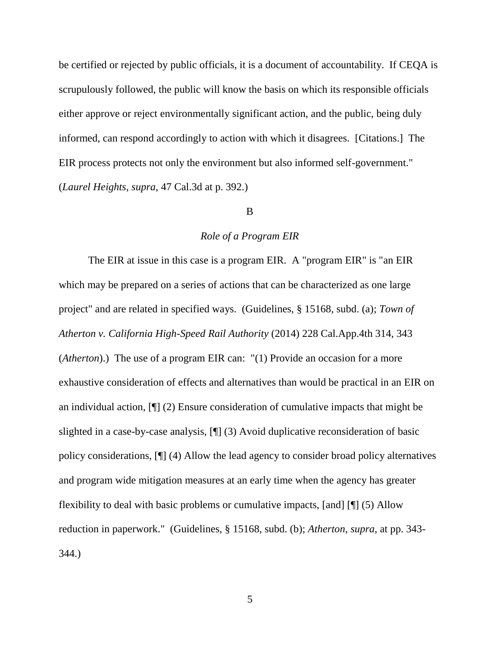be certified or rejected by public officials, it is a document of accountability. If CEQA is scrupulously followed, the public will know the basis on which its responsible officials either approve or reject environmentally significant action, and the public, being duly informed, can respond accordingly to action with which it disagrees. [Citations.] The EIR process protects not only the environment but also informed self-government." (*Laurel Heights*, *supra*, 47 Cal.3d at p. 392.)

### B

#### *Role of a Program EIR*

The EIR at issue in this case is a program EIR. A "program EIR" is "an EIR which may be prepared on a series of actions that can be characterized as one large project" and are related in specified ways. (Guidelines, § 15168, subd. (a); *Town of Atherton v. California High-Speed Rail Authority* (2014) 228 Cal.App.4th 314, 343 (*Atherton*).) The use of a program EIR can: "(1) Provide an occasion for a more exhaustive consideration of effects and alternatives than would be practical in an EIR on an individual action, [¶] (2) Ensure consideration of cumulative impacts that might be slighted in a case-by-case analysis, [¶] (3) Avoid duplicative reconsideration of basic policy considerations, [¶] (4) Allow the lead agency to consider broad policy alternatives and program wide mitigation measures at an early time when the agency has greater flexibility to deal with basic problems or cumulative impacts, [and] [¶] (5) Allow reduction in paperwork." (Guidelines, § 15168, subd. (b); *Atherton*, *supra*, at pp. 343- 344.)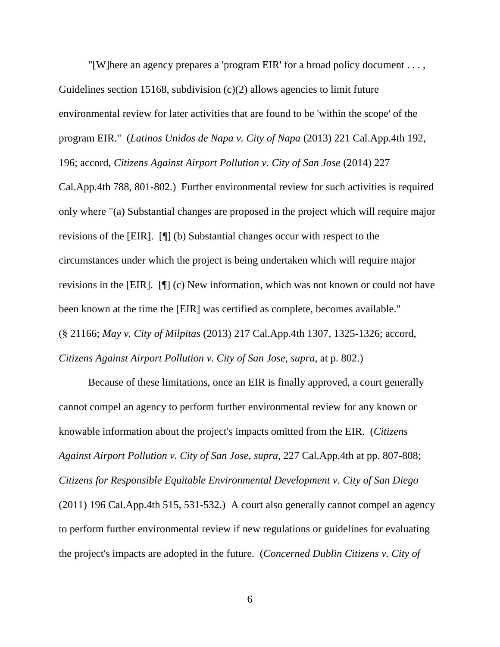"[W]here an agency prepares a 'program EIR' for a broad policy document . . . , Guidelines section 15168, subdivision  $(c)(2)$  allows agencies to limit future environmental review for later activities that are found to be 'within the scope' of the program EIR." (*Latinos Unidos de Napa v. City of Napa* (2013) 221 Cal.App.4th 192, 196; accord, *Citizens Against Airport Pollution v. City of San Jose* (2014) 227

Cal.App.4th 788, 801-802.) Further environmental review for such activities is required only where "(a) Substantial changes are proposed in the project which will require major revisions of the [EIR]. [¶] (b) Substantial changes occur with respect to the circumstances under which the project is being undertaken which will require major revisions in the [EIR]. [¶] (c) New information, which was not known or could not have been known at the time the [EIR] was certified as complete, becomes available." (§ 21166; *May v. City of Milpitas* (2013) 217 Cal.App.4th 1307, 1325-1326; accord, *Citizens Against Airport Pollution v. City of San Jose*, *supra*, at p. 802.)

Because of these limitations, once an EIR is finally approved, a court generally cannot compel an agency to perform further environmental review for any known or knowable information about the project's impacts omitted from the EIR. (*Citizens Against Airport Pollution v. City of San Jose*, *supra*, 227 Cal.App.4th at pp. 807-808; *Citizens for Responsible Equitable Environmental Development v. City of San Diego* (2011) 196 Cal.App.4th 515, 531-532.) A court also generally cannot compel an agency to perform further environmental review if new regulations or guidelines for evaluating the project's impacts are adopted in the future. (*Concerned Dublin Citizens v. City of*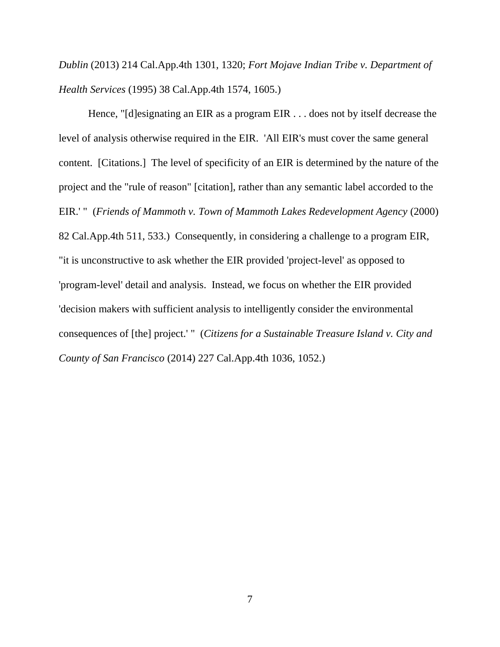*Dublin* (2013) 214 Cal.App.4th 1301, 1320; *Fort Mojave Indian Tribe v. Department of Health Services* (1995) 38 Cal.App.4th 1574, 1605.)

Hence, "[d]esignating an EIR as a program EIR . . . does not by itself decrease the level of analysis otherwise required in the EIR. 'All EIR's must cover the same general content. [Citations.] The level of specificity of an EIR is determined by the nature of the project and the "rule of reason" [citation], rather than any semantic label accorded to the EIR.' " (*Friends of Mammoth v. Town of Mammoth Lakes Redevelopment Agency* (2000) 82 Cal.App.4th 511, 533.) Consequently, in considering a challenge to a program EIR, "it is unconstructive to ask whether the EIR provided 'project-level' as opposed to 'program-level' detail and analysis. Instead, we focus on whether the EIR provided 'decision makers with sufficient analysis to intelligently consider the environmental consequences of [the] project.' " (*Citizens for a Sustainable Treasure Island v. City and County of San Francisco* (2014) 227 Cal.App.4th 1036, 1052.)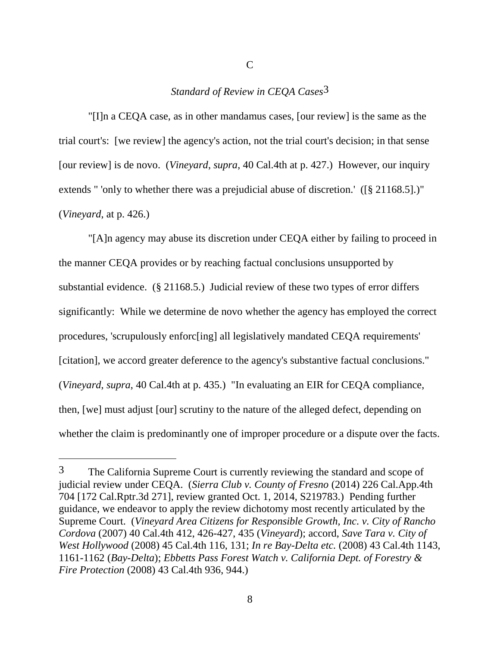# *Standard of Review in CEQA Cases*3

"[I]n a CEQA case, as in other mandamus cases, [our review] is the same as the trial court's: [we review] the agency's action, not the trial court's decision; in that sense [our review] is de novo. (*Vineyard*, *supra*, 40 Cal.4th at p. 427.) However, our inquiry extends " 'only to whether there was a prejudicial abuse of discretion.' ([§ 21168.5].)" (*Vineyard*, at p. 426.)

"[A]n agency may abuse its discretion under CEQA either by failing to proceed in the manner CEQA provides or by reaching factual conclusions unsupported by substantial evidence. (§ 21168.5.) Judicial review of these two types of error differs significantly: While we determine de novo whether the agency has employed the correct procedures, 'scrupulously enforc[ing] all legislatively mandated CEQA requirements' [citation], we accord greater deference to the agency's substantive factual conclusions." (*Vineyard*, *supra*, 40 Cal.4th at p. 435.) "In evaluating an EIR for CEQA compliance, then, [we] must adjust [our] scrutiny to the nature of the alleged defect, depending on whether the claim is predominantly one of improper procedure or a dispute over the facts.

 $\overline{a}$ 

<sup>3</sup> The California Supreme Court is currently reviewing the standard and scope of judicial review under CEQA. (*Sierra Club v. County of Fresno* (2014) 226 Cal.App.4th 704 [172 Cal.Rptr.3d 271], review granted Oct. 1, 2014, S219783.) Pending further guidance, we endeavor to apply the review dichotomy most recently articulated by the Supreme Court. (*Vineyard Area Citizens for Responsible Growth, Inc. v. City of Rancho Cordova* (2007) 40 Cal.4th 412, 426-427, 435 (*Vineyard*); accord, *Save Tara v. City of West Hollywood* (2008) 45 Cal.4th 116, 131; *In re Bay-Delta etc.* (2008) 43 Cal.4th 1143, 1161-1162 (*Bay-Delta*); *Ebbetts Pass Forest Watch v. California Dept. of Forestry & Fire Protection* (2008) 43 Cal.4th 936, 944.)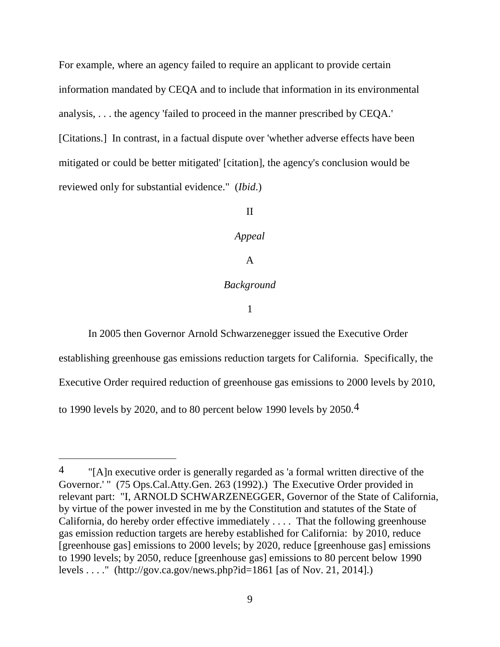For example, where an agency failed to require an applicant to provide certain information mandated by CEQA and to include that information in its environmental analysis, . . . the agency 'failed to proceed in the manner prescribed by CEQA.' [Citations.] In contrast, in a factual dispute over 'whether adverse effects have been mitigated or could be better mitigated' [citation], the agency's conclusion would be reviewed only for substantial evidence." (*Ibid*.)

# II

### *Appeal*

# A

# *Background*

#### 1

In 2005 then Governor Arnold Schwarzenegger issued the Executive Order establishing greenhouse gas emissions reduction targets for California. Specifically, the Executive Order required reduction of greenhouse gas emissions to 2000 levels by 2010, to 1990 levels by 2020, and to 80 percent below 1990 levels by 2050.4

 $\overline{a}$ 

 $\frac{4}{100}$  "[A]n executive order is generally regarded as 'a formal written directive of the Governor.'" (75 Ops.Cal.Atty.Gen. 263 (1992).) The Executive Order provided in relevant part: "I, ARNOLD SCHWARZENEGGER, Governor of the State of California, by virtue of the power invested in me by the Constitution and statutes of the State of California, do hereby order effective immediately . . . . That the following greenhouse gas emission reduction targets are hereby established for California: by 2010, reduce [greenhouse gas] emissions to 2000 levels; by 2020, reduce [greenhouse gas] emissions to 1990 levels; by 2050, reduce [greenhouse gas] emissions to 80 percent below 1990 levels . . . ." (http://gov.ca.gov/news.php?id=1861 [as of Nov. 21, 2014].)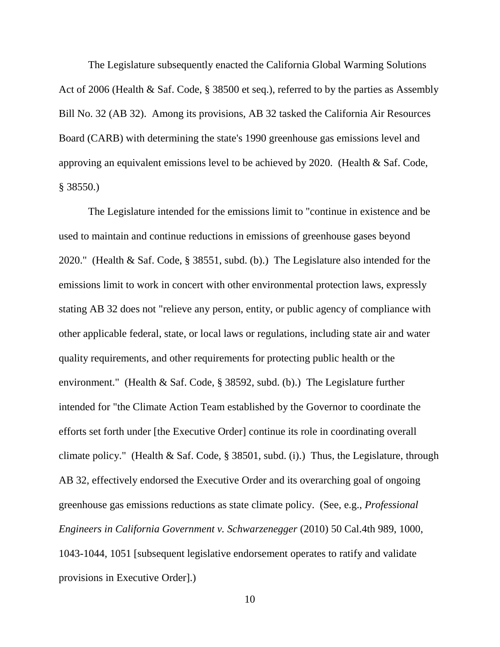The Legislature subsequently enacted the California Global Warming Solutions Act of 2006 (Health & Saf. Code, § 38500 et seq.), referred to by the parties as Assembly Bill No. 32 (AB 32). Among its provisions, AB 32 tasked the California Air Resources Board (CARB) with determining the state's 1990 greenhouse gas emissions level and approving an equivalent emissions level to be achieved by 2020. (Health & Saf. Code, § 38550.)

The Legislature intended for the emissions limit to "continue in existence and be used to maintain and continue reductions in emissions of greenhouse gases beyond 2020." (Health & Saf. Code, § 38551, subd. (b).) The Legislature also intended for the emissions limit to work in concert with other environmental protection laws, expressly stating AB 32 does not "relieve any person, entity, or public agency of compliance with other applicable federal, state, or local laws or regulations, including state air and water quality requirements, and other requirements for protecting public health or the environment." (Health & Saf. Code, § 38592, subd. (b).) The Legislature further intended for "the Climate Action Team established by the Governor to coordinate the efforts set forth under [the Executive Order] continue its role in coordinating overall climate policy." (Health & Saf. Code, § 38501, subd. (i).) Thus, the Legislature, through AB 32, effectively endorsed the Executive Order and its overarching goal of ongoing greenhouse gas emissions reductions as state climate policy. (See, e.g., *Professional Engineers in California Government v. Schwarzenegger* (2010) 50 Cal.4th 989, 1000, 1043-1044, 1051 [subsequent legislative endorsement operates to ratify and validate provisions in Executive Order].)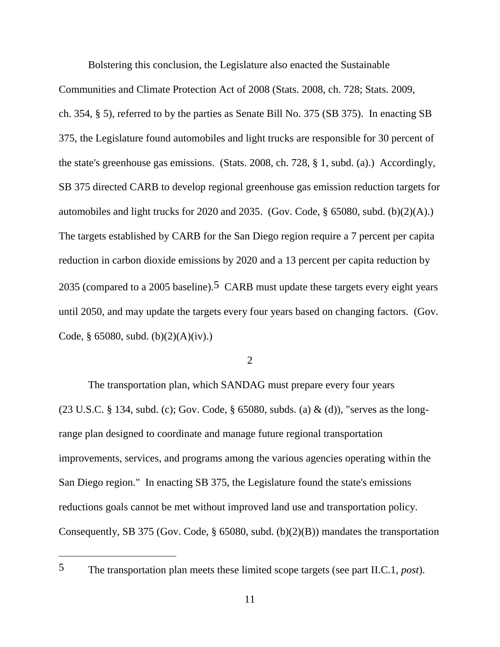Bolstering this conclusion, the Legislature also enacted the Sustainable

Communities and Climate Protection Act of 2008 (Stats. 2008, ch. 728; Stats. 2009, ch. 354, § 5), referred to by the parties as Senate Bill No. 375 (SB 375). In enacting SB 375, the Legislature found automobiles and light trucks are responsible for 30 percent of the state's greenhouse gas emissions. (Stats. 2008, ch. 728, § 1, subd. (a).) Accordingly, SB 375 directed CARB to develop regional greenhouse gas emission reduction targets for automobiles and light trucks for 2020 and 2035. (Gov. Code, § 65080, subd. (b)(2)(A).) The targets established by CARB for the San Diego region require a 7 percent per capita reduction in carbon dioxide emissions by 2020 and a 13 percent per capita reduction by 2035 (compared to a 2005 baseline).<sup>5</sup> CARB must update these targets every eight years until 2050, and may update the targets every four years based on changing factors. (Gov. Code, § 65080, subd. (b) $(2)(A)(iv)$ .)

2

The transportation plan, which SANDAG must prepare every four years (23 U.S.C. § 134, subd. (c); Gov. Code, § 65080, subds. (a) & (d)), "serves as the longrange plan designed to coordinate and manage future regional transportation improvements, services, and programs among the various agencies operating within the San Diego region." In enacting SB 375, the Legislature found the state's emissions reductions goals cannot be met without improved land use and transportation policy. Consequently, SB 375 (Gov. Code, § 65080, subd. (b)(2)(B)) mandates the transportation

5 The transportation plan meets these limited scope targets (see part II.C.1, *post*).

 $\overline{a}$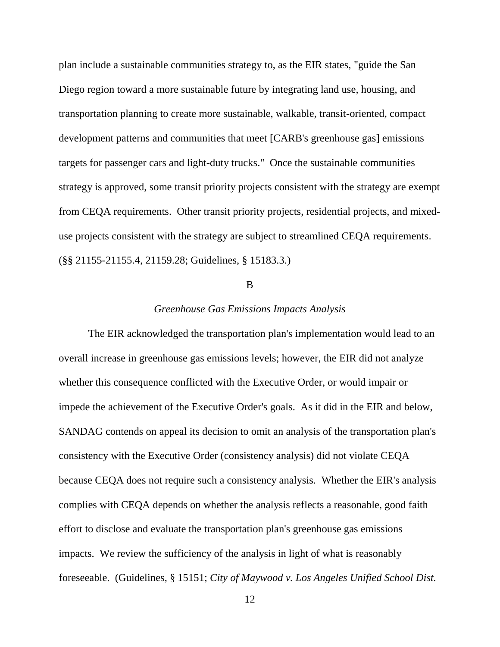plan include a sustainable communities strategy to, as the EIR states, "guide the San Diego region toward a more sustainable future by integrating land use, housing, and transportation planning to create more sustainable, walkable, transit-oriented, compact development patterns and communities that meet [CARB's greenhouse gas] emissions targets for passenger cars and light-duty trucks." Once the sustainable communities strategy is approved, some transit priority projects consistent with the strategy are exempt from CEQA requirements. Other transit priority projects, residential projects, and mixeduse projects consistent with the strategy are subject to streamlined CEQA requirements. (§§ 21155-21155.4, 21159.28; Guidelines, § 15183.3.)

### B

#### *Greenhouse Gas Emissions Impacts Analysis*

The EIR acknowledged the transportation plan's implementation would lead to an overall increase in greenhouse gas emissions levels; however, the EIR did not analyze whether this consequence conflicted with the Executive Order, or would impair or impede the achievement of the Executive Order's goals. As it did in the EIR and below, SANDAG contends on appeal its decision to omit an analysis of the transportation plan's consistency with the Executive Order (consistency analysis) did not violate CEQA because CEQA does not require such a consistency analysis. Whether the EIR's analysis complies with CEQA depends on whether the analysis reflects a reasonable, good faith effort to disclose and evaluate the transportation plan's greenhouse gas emissions impacts. We review the sufficiency of the analysis in light of what is reasonably foreseeable. (Guidelines, § 15151; *City of Maywood v. Los Angeles Unified School Dist.*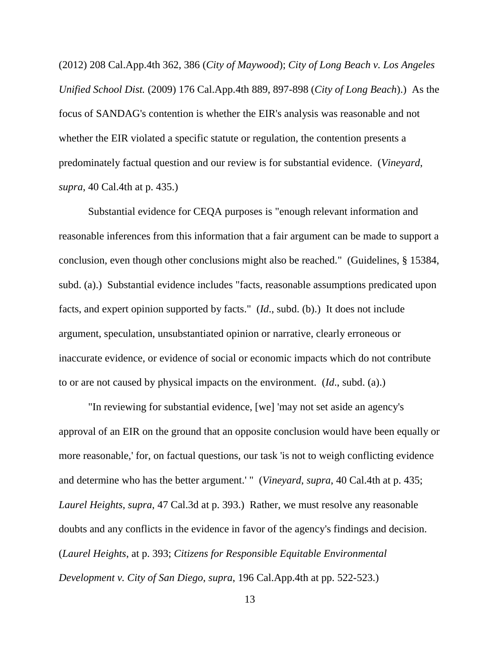(2012) 208 Cal.App.4th 362, 386 (*City of Maywood*); *City of Long Beach v. Los Angeles Unified School Dist.* (2009) 176 Cal.App.4th 889, 897-898 (*City of Long Beach*).) As the focus of SANDAG's contention is whether the EIR's analysis was reasonable and not whether the EIR violated a specific statute or regulation, the contention presents a predominately factual question and our review is for substantial evidence. (*Vineyard*, *supra*, 40 Cal.4th at p. 435.)

Substantial evidence for CEQA purposes is "enough relevant information and reasonable inferences from this information that a fair argument can be made to support a conclusion, even though other conclusions might also be reached." (Guidelines, § 15384, subd. (a).) Substantial evidence includes "facts, reasonable assumptions predicated upon facts, and expert opinion supported by facts." (*Id*., subd. (b).) It does not include argument, speculation, unsubstantiated opinion or narrative, clearly erroneous or inaccurate evidence, or evidence of social or economic impacts which do not contribute to or are not caused by physical impacts on the environment. (*Id*., subd. (a).)

"In reviewing for substantial evidence, [we] 'may not set aside an agency's approval of an EIR on the ground that an opposite conclusion would have been equally or more reasonable,' for, on factual questions, our task 'is not to weigh conflicting evidence and determine who has the better argument.' " (*Vineyard*, *supra*, 40 Cal.4th at p. 435; *Laurel Heights*, *supra*, 47 Cal.3d at p. 393.) Rather, we must resolve any reasonable doubts and any conflicts in the evidence in favor of the agency's findings and decision. (*Laurel Heights*, at p. 393; *Citizens for Responsible Equitable Environmental Development v. City of San Diego*, *supra*, 196 Cal.App.4th at pp. 522-523.)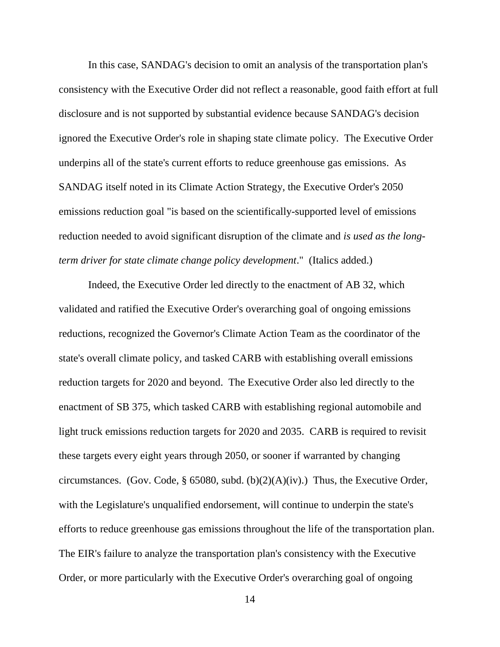In this case, SANDAG's decision to omit an analysis of the transportation plan's consistency with the Executive Order did not reflect a reasonable, good faith effort at full disclosure and is not supported by substantial evidence because SANDAG's decision ignored the Executive Order's role in shaping state climate policy. The Executive Order underpins all of the state's current efforts to reduce greenhouse gas emissions. As SANDAG itself noted in its Climate Action Strategy, the Executive Order's 2050 emissions reduction goal "is based on the scientifically-supported level of emissions reduction needed to avoid significant disruption of the climate and *is used as the longterm driver for state climate change policy development*." (Italics added.)

Indeed, the Executive Order led directly to the enactment of AB 32, which validated and ratified the Executive Order's overarching goal of ongoing emissions reductions, recognized the Governor's Climate Action Team as the coordinator of the state's overall climate policy, and tasked CARB with establishing overall emissions reduction targets for 2020 and beyond. The Executive Order also led directly to the enactment of SB 375, which tasked CARB with establishing regional automobile and light truck emissions reduction targets for 2020 and 2035. CARB is required to revisit these targets every eight years through 2050, or sooner if warranted by changing circumstances. (Gov. Code, § 65080, subd. (b) $(2)(A)(iv)$ .) Thus, the Executive Order, with the Legislature's unqualified endorsement, will continue to underpin the state's efforts to reduce greenhouse gas emissions throughout the life of the transportation plan. The EIR's failure to analyze the transportation plan's consistency with the Executive Order, or more particularly with the Executive Order's overarching goal of ongoing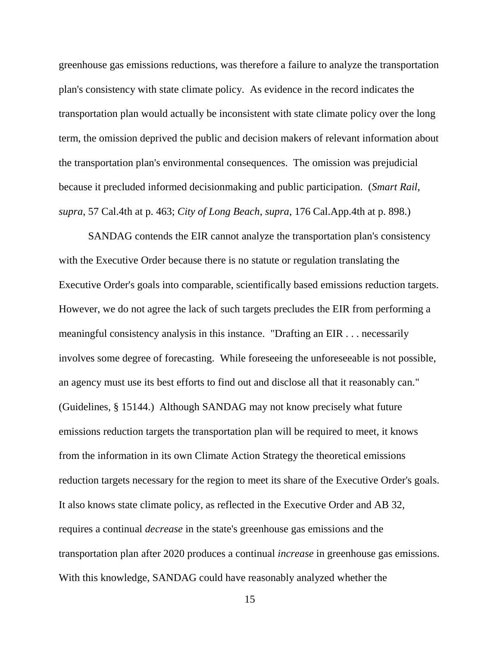greenhouse gas emissions reductions, was therefore a failure to analyze the transportation plan's consistency with state climate policy. As evidence in the record indicates the transportation plan would actually be inconsistent with state climate policy over the long term, the omission deprived the public and decision makers of relevant information about the transportation plan's environmental consequences. The omission was prejudicial because it precluded informed decisionmaking and public participation. (*Smart Rail*, *supra*, 57 Cal.4th at p. 463; *City of Long Beach*, *supra*, 176 Cal.App.4th at p. 898.)

SANDAG contends the EIR cannot analyze the transportation plan's consistency with the Executive Order because there is no statute or regulation translating the Executive Order's goals into comparable, scientifically based emissions reduction targets. However, we do not agree the lack of such targets precludes the EIR from performing a meaningful consistency analysis in this instance. "Drafting an EIR . . . necessarily involves some degree of forecasting. While foreseeing the unforeseeable is not possible, an agency must use its best efforts to find out and disclose all that it reasonably can." (Guidelines, § 15144.) Although SANDAG may not know precisely what future emissions reduction targets the transportation plan will be required to meet, it knows from the information in its own Climate Action Strategy the theoretical emissions reduction targets necessary for the region to meet its share of the Executive Order's goals. It also knows state climate policy, as reflected in the Executive Order and AB 32, requires a continual *decrease* in the state's greenhouse gas emissions and the transportation plan after 2020 produces a continual *increase* in greenhouse gas emissions. With this knowledge, SANDAG could have reasonably analyzed whether the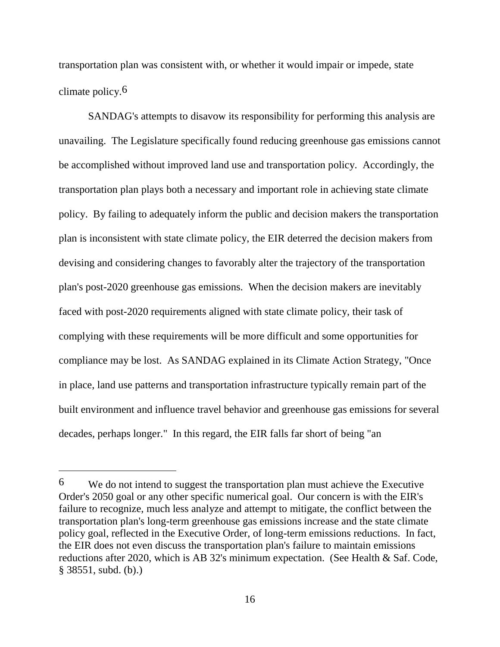transportation plan was consistent with, or whether it would impair or impede, state climate policy.6

SANDAG's attempts to disavow its responsibility for performing this analysis are unavailing. The Legislature specifically found reducing greenhouse gas emissions cannot be accomplished without improved land use and transportation policy. Accordingly, the transportation plan plays both a necessary and important role in achieving state climate policy. By failing to adequately inform the public and decision makers the transportation plan is inconsistent with state climate policy, the EIR deterred the decision makers from devising and considering changes to favorably alter the trajectory of the transportation plan's post-2020 greenhouse gas emissions. When the decision makers are inevitably faced with post-2020 requirements aligned with state climate policy, their task of complying with these requirements will be more difficult and some opportunities for compliance may be lost. As SANDAG explained in its Climate Action Strategy, "Once in place, land use patterns and transportation infrastructure typically remain part of the built environment and influence travel behavior and greenhouse gas emissions for several decades, perhaps longer." In this regard, the EIR falls far short of being "an

 $\overline{a}$ 

<sup>6</sup> We do not intend to suggest the transportation plan must achieve the Executive Order's 2050 goal or any other specific numerical goal. Our concern is with the EIR's failure to recognize, much less analyze and attempt to mitigate, the conflict between the transportation plan's long-term greenhouse gas emissions increase and the state climate policy goal, reflected in the Executive Order, of long-term emissions reductions. In fact, the EIR does not even discuss the transportation plan's failure to maintain emissions reductions after 2020, which is AB 32's minimum expectation. (See Health & Saf. Code, § 38551, subd. (b).)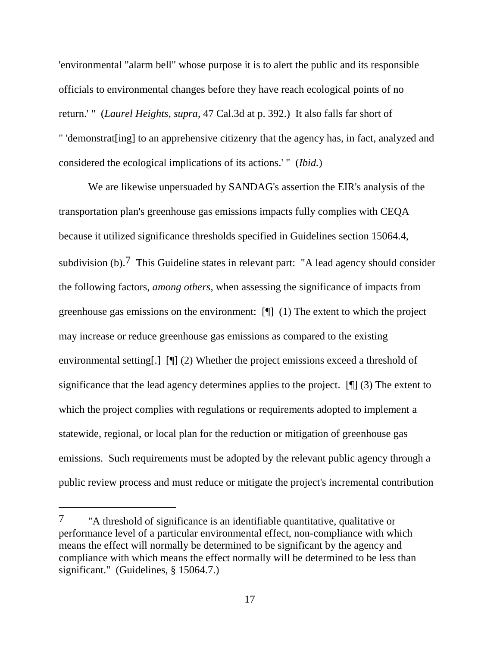'environmental "alarm bell" whose purpose it is to alert the public and its responsible officials to environmental changes before they have reach ecological points of no return.' " (*Laurel Heights*, *supra*, 47 Cal.3d at p. 392.) It also falls far short of " 'demonstrat[ing] to an apprehensive citizenry that the agency has, in fact, analyzed and considered the ecological implications of its actions.' " (*Ibid.*)

We are likewise unpersuaded by SANDAG's assertion the EIR's analysis of the transportation plan's greenhouse gas emissions impacts fully complies with CEQA because it utilized significance thresholds specified in Guidelines section 15064.4, subdivision (b).<sup>7</sup> This Guideline states in relevant part: "A lead agency should consider the following factors, *among others*, when assessing the significance of impacts from greenhouse gas emissions on the environment: [¶] (1) The extent to which the project may increase or reduce greenhouse gas emissions as compared to the existing environmental setting[.] [¶] (2) Whether the project emissions exceed a threshold of significance that the lead agency determines applies to the project. [¶] (3) The extent to which the project complies with regulations or requirements adopted to implement a statewide, regional, or local plan for the reduction or mitigation of greenhouse gas emissions. Such requirements must be adopted by the relevant public agency through a public review process and must reduce or mitigate the project's incremental contribution

<sup>7</sup> "A threshold of significance is an identifiable quantitative, qualitative or performance level of a particular environmental effect, non-compliance with which means the effect will normally be determined to be significant by the agency and compliance with which means the effect normally will be determined to be less than significant." (Guidelines, § 15064.7.)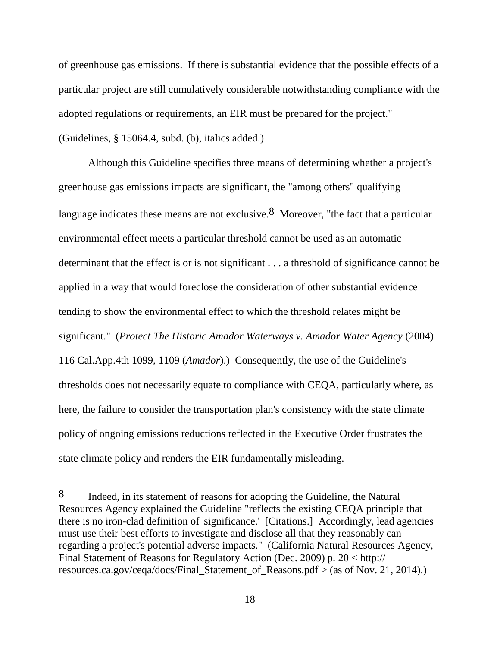of greenhouse gas emissions. If there is substantial evidence that the possible effects of a particular project are still cumulatively considerable notwithstanding compliance with the adopted regulations or requirements, an EIR must be prepared for the project."

(Guidelines, § 15064.4, subd. (b), italics added.)

 $\overline{a}$ 

Although this Guideline specifies three means of determining whether a project's greenhouse gas emissions impacts are significant, the "among others" qualifying language indicates these means are not exclusive.<sup>8</sup> Moreover, "the fact that a particular environmental effect meets a particular threshold cannot be used as an automatic determinant that the effect is or is not significant . . . a threshold of significance cannot be applied in a way that would foreclose the consideration of other substantial evidence tending to show the environmental effect to which the threshold relates might be significant." (*Protect The Historic Amador Waterways v. Amador Water Agency* (2004) 116 Cal.App.4th 1099, 1109 (*Amador*).) Consequently, the use of the Guideline's thresholds does not necessarily equate to compliance with CEQA, particularly where, as here, the failure to consider the transportation plan's consistency with the state climate policy of ongoing emissions reductions reflected in the Executive Order frustrates the state climate policy and renders the EIR fundamentally misleading.

<sup>8</sup> Indeed, in its statement of reasons for adopting the Guideline, the Natural Resources Agency explained the Guideline "reflects the existing CEQA principle that there is no iron-clad definition of 'significance.' [Citations.] Accordingly, lead agencies must use their best efforts to investigate and disclose all that they reasonably can regarding a project's potential adverse impacts." (California Natural Resources Agency, Final Statement of Reasons for Regulatory Action (Dec. 2009) p. 20 < http:// resources.ca.gov/ceqa/docs/Final\_Statement\_of\_Reasons.pdf > (as of Nov. 21, 2014).)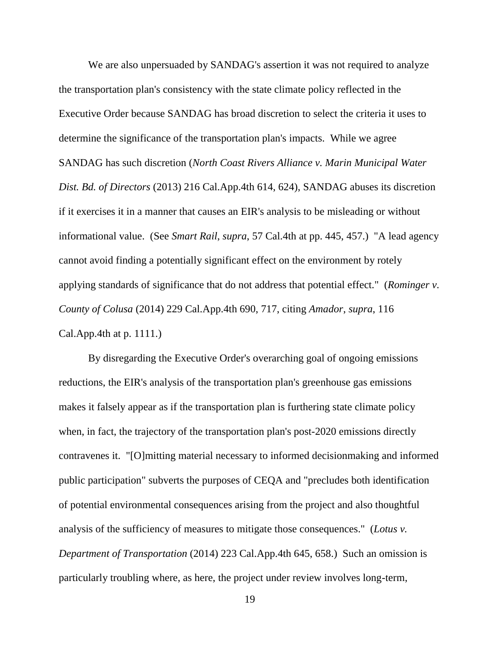We are also unpersuaded by SANDAG's assertion it was not required to analyze the transportation plan's consistency with the state climate policy reflected in the Executive Order because SANDAG has broad discretion to select the criteria it uses to determine the significance of the transportation plan's impacts. While we agree SANDAG has such discretion (*North Coast Rivers Alliance v. Marin Municipal Water Dist. Bd. of Directors* (2013) 216 Cal.App.4th 614, 624), SANDAG abuses its discretion if it exercises it in a manner that causes an EIR's analysis to be misleading or without informational value. (See *Smart Rail*, *supra*, 57 Cal.4th at pp. 445, 457.) "A lead agency cannot avoid finding a potentially significant effect on the environment by rotely applying standards of significance that do not address that potential effect." (*Rominger v. County of Colusa* (2014) 229 Cal.App.4th 690, 717, citing *Amador*, *supra*, 116 Cal.App.4th at p. 1111.)

By disregarding the Executive Order's overarching goal of ongoing emissions reductions, the EIR's analysis of the transportation plan's greenhouse gas emissions makes it falsely appear as if the transportation plan is furthering state climate policy when, in fact, the trajectory of the transportation plan's post-2020 emissions directly contravenes it. "[O]mitting material necessary to informed decisionmaking and informed public participation" subverts the purposes of CEQA and "precludes both identification of potential environmental consequences arising from the project and also thoughtful analysis of the sufficiency of measures to mitigate those consequences." (*Lotus v. Department of Transportation* (2014) 223 Cal.App.4th 645, 658.) Such an omission is particularly troubling where, as here, the project under review involves long-term,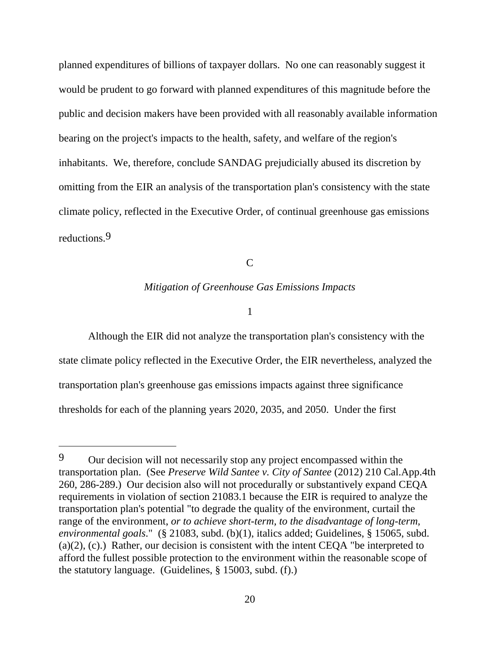planned expenditures of billions of taxpayer dollars. No one can reasonably suggest it would be prudent to go forward with planned expenditures of this magnitude before the public and decision makers have been provided with all reasonably available information bearing on the project's impacts to the health, safety, and welfare of the region's inhabitants. We, therefore, conclude SANDAG prejudicially abused its discretion by omitting from the EIR an analysis of the transportation plan's consistency with the state climate policy, reflected in the Executive Order, of continual greenhouse gas emissions reductions.9

C

#### *Mitigation of Greenhouse Gas Emissions Impacts*

1

Although the EIR did not analyze the transportation plan's consistency with the state climate policy reflected in the Executive Order, the EIR nevertheless, analyzed the transportation plan's greenhouse gas emissions impacts against three significance thresholds for each of the planning years 2020, 2035, and 2050. Under the first

 $\overline{a}$ 

<sup>9</sup> Our decision will not necessarily stop any project encompassed within the transportation plan. (See *Preserve Wild Santee v. City of Santee* (2012) 210 Cal.App.4th 260, 286-289.) Our decision also will not procedurally or substantively expand CEQA requirements in violation of section 21083.1 because the EIR is required to analyze the transportation plan's potential "to degrade the quality of the environment, curtail the range of the environment, *or to achieve short-term, to the disadvantage of long-term, environmental goals*." (§ 21083, subd. (b)(1), italics added; Guidelines, § 15065, subd.  $(a)(2)$ ,  $(c)$ .) Rather, our decision is consistent with the intent CEQA "be interpreted to afford the fullest possible protection to the environment within the reasonable scope of the statutory language. (Guidelines, § 15003, subd. (f).)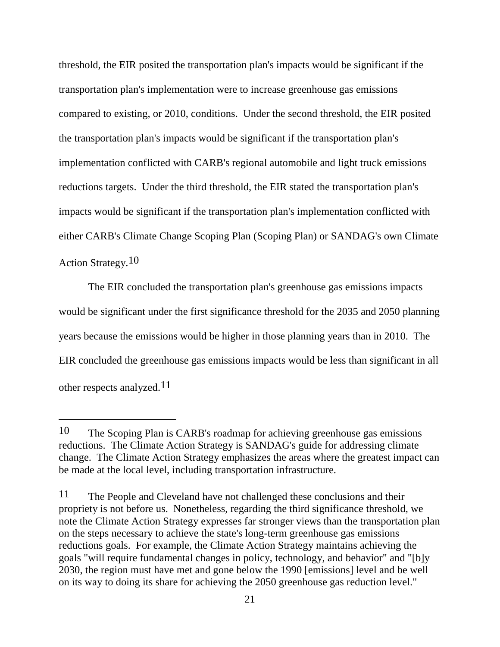threshold, the EIR posited the transportation plan's impacts would be significant if the transportation plan's implementation were to increase greenhouse gas emissions compared to existing, or 2010, conditions. Under the second threshold, the EIR posited the transportation plan's impacts would be significant if the transportation plan's implementation conflicted with CARB's regional automobile and light truck emissions reductions targets. Under the third threshold, the EIR stated the transportation plan's impacts would be significant if the transportation plan's implementation conflicted with either CARB's Climate Change Scoping Plan (Scoping Plan) or SANDAG's own Climate Action Strategy.<sup>10</sup>

The EIR concluded the transportation plan's greenhouse gas emissions impacts would be significant under the first significance threshold for the 2035 and 2050 planning years because the emissions would be higher in those planning years than in 2010. The EIR concluded the greenhouse gas emissions impacts would be less than significant in all other respects analyzed.11

<sup>10</sup> The Scoping Plan is CARB's roadmap for achieving greenhouse gas emissions reductions. The Climate Action Strategy is SANDAG's guide for addressing climate change. The Climate Action Strategy emphasizes the areas where the greatest impact can be made at the local level, including transportation infrastructure.

<sup>11</sup> The People and Cleveland have not challenged these conclusions and their propriety is not before us. Nonetheless, regarding the third significance threshold, we note the Climate Action Strategy expresses far stronger views than the transportation plan on the steps necessary to achieve the state's long-term greenhouse gas emissions reductions goals. For example, the Climate Action Strategy maintains achieving the goals "will require fundamental changes in policy, technology, and behavior" and "[b]y 2030, the region must have met and gone below the 1990 [emissions] level and be well on its way to doing its share for achieving the 2050 greenhouse gas reduction level."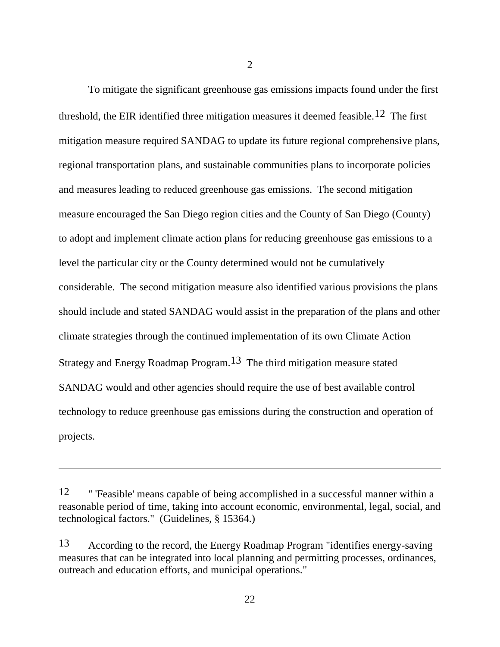To mitigate the significant greenhouse gas emissions impacts found under the first threshold, the EIR identified three mitigation measures it deemed feasible.<sup>12</sup> The first mitigation measure required SANDAG to update its future regional comprehensive plans, regional transportation plans, and sustainable communities plans to incorporate policies and measures leading to reduced greenhouse gas emissions. The second mitigation measure encouraged the San Diego region cities and the County of San Diego (County) to adopt and implement climate action plans for reducing greenhouse gas emissions to a level the particular city or the County determined would not be cumulatively considerable. The second mitigation measure also identified various provisions the plans should include and stated SANDAG would assist in the preparation of the plans and other climate strategies through the continued implementation of its own Climate Action Strategy and Energy Roadmap Program.13 The third mitigation measure stated SANDAG would and other agencies should require the use of best available control technology to reduce greenhouse gas emissions during the construction and operation of projects.

 $\overline{a}$ 

2

<sup>12</sup> " 'Feasible' means capable of being accomplished in a successful manner within a reasonable period of time, taking into account economic, environmental, legal, social, and technological factors." (Guidelines, § 15364.)

<sup>13</sup> According to the record, the Energy Roadmap Program "identifies energy-saving measures that can be integrated into local planning and permitting processes, ordinances, outreach and education efforts, and municipal operations."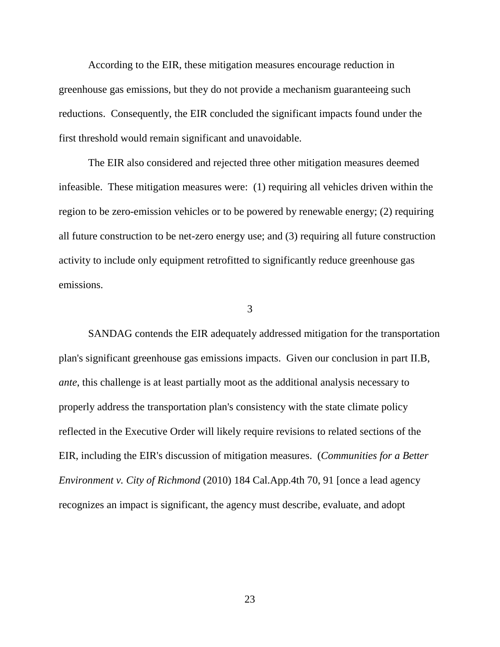According to the EIR, these mitigation measures encourage reduction in greenhouse gas emissions, but they do not provide a mechanism guaranteeing such reductions. Consequently, the EIR concluded the significant impacts found under the first threshold would remain significant and unavoidable.

The EIR also considered and rejected three other mitigation measures deemed infeasible. These mitigation measures were: (1) requiring all vehicles driven within the region to be zero-emission vehicles or to be powered by renewable energy; (2) requiring all future construction to be net-zero energy use; and (3) requiring all future construction activity to include only equipment retrofitted to significantly reduce greenhouse gas emissions.

3

SANDAG contends the EIR adequately addressed mitigation for the transportation plan's significant greenhouse gas emissions impacts. Given our conclusion in part II.B, *ante*, this challenge is at least partially moot as the additional analysis necessary to properly address the transportation plan's consistency with the state climate policy reflected in the Executive Order will likely require revisions to related sections of the EIR, including the EIR's discussion of mitigation measures. (*Communities for a Better Environment v. City of Richmond* (2010) 184 Cal.App.4th 70, 91 [once a lead agency recognizes an impact is significant, the agency must describe, evaluate, and adopt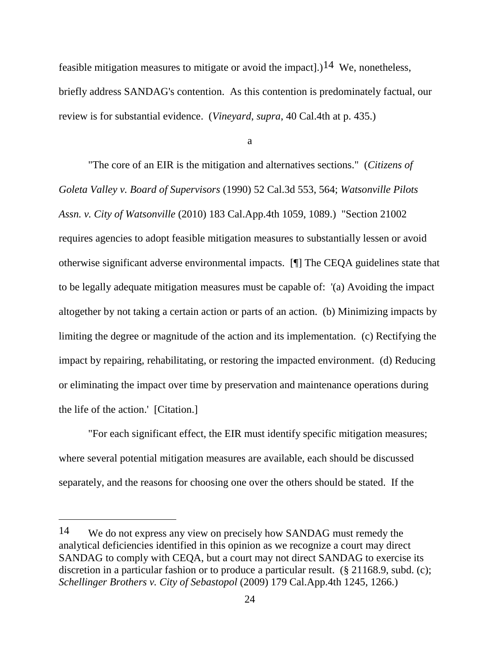feasible mitigation measures to mitigate or avoid the impact.  $1^{14}$  We, nonetheless, briefly address SANDAG's contention. As this contention is predominately factual, our review is for substantial evidence. (*Vineyard*, *supra*, 40 Cal.4th at p. 435.)

a

"The core of an EIR is the mitigation and alternatives sections." (*Citizens of Goleta Valley v. Board of Supervisors* (1990) 52 Cal.3d 553, 564; *Watsonville Pilots Assn. v. City of Watsonville* (2010) 183 Cal.App.4th 1059, 1089.) "Section 21002 requires agencies to adopt feasible mitigation measures to substantially lessen or avoid otherwise significant adverse environmental impacts. [¶] The CEQA guidelines state that to be legally adequate mitigation measures must be capable of: '(a) Avoiding the impact altogether by not taking a certain action or parts of an action. (b) Minimizing impacts by limiting the degree or magnitude of the action and its implementation. (c) Rectifying the impact by repairing, rehabilitating, or restoring the impacted environment. (d) Reducing or eliminating the impact over time by preservation and maintenance operations during the life of the action.' [Citation.]

"For each significant effect, the EIR must identify specific mitigation measures; where several potential mitigation measures are available, each should be discussed separately, and the reasons for choosing one over the others should be stated. If the

<sup>14</sup> We do not express any view on precisely how SANDAG must remedy the analytical deficiencies identified in this opinion as we recognize a court may direct SANDAG to comply with CEQA, but a court may not direct SANDAG to exercise its discretion in a particular fashion or to produce a particular result. (§ 21168.9, subd. (c); *Schellinger Brothers v. City of Sebastopol* (2009) 179 Cal.App.4th 1245, 1266.)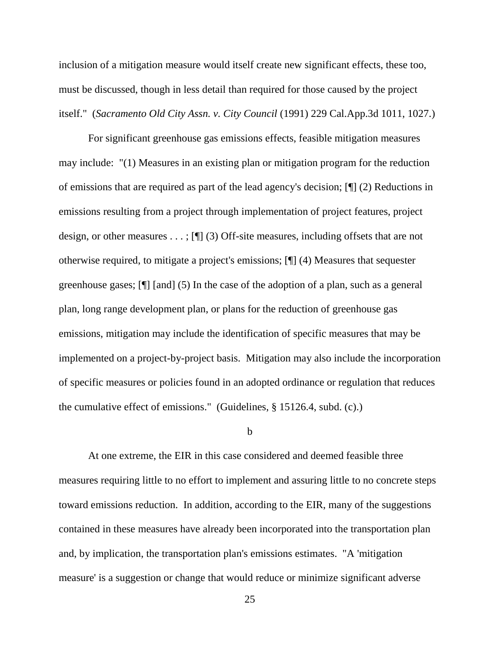inclusion of a mitigation measure would itself create new significant effects, these too, must be discussed, though in less detail than required for those caused by the project itself." (*Sacramento Old City Assn. v. City Council* (1991) 229 Cal.App.3d 1011, 1027.)

For significant greenhouse gas emissions effects, feasible mitigation measures may include: "(1) Measures in an existing plan or mitigation program for the reduction of emissions that are required as part of the lead agency's decision; [¶] (2) Reductions in emissions resulting from a project through implementation of project features, project design, or other measures . . . ; [¶] (3) Off-site measures, including offsets that are not otherwise required, to mitigate a project's emissions; [¶] (4) Measures that sequester greenhouse gases; [¶] [and] (5) In the case of the adoption of a plan, such as a general plan, long range development plan, or plans for the reduction of greenhouse gas emissions, mitigation may include the identification of specific measures that may be implemented on a project-by-project basis. Mitigation may also include the incorporation of specific measures or policies found in an adopted ordinance or regulation that reduces the cumulative effect of emissions." (Guidelines, § 15126.4, subd. (c).)

b

At one extreme, the EIR in this case considered and deemed feasible three measures requiring little to no effort to implement and assuring little to no concrete steps toward emissions reduction. In addition, according to the EIR, many of the suggestions contained in these measures have already been incorporated into the transportation plan and, by implication, the transportation plan's emissions estimates. "A 'mitigation measure' is a suggestion or change that would reduce or minimize significant adverse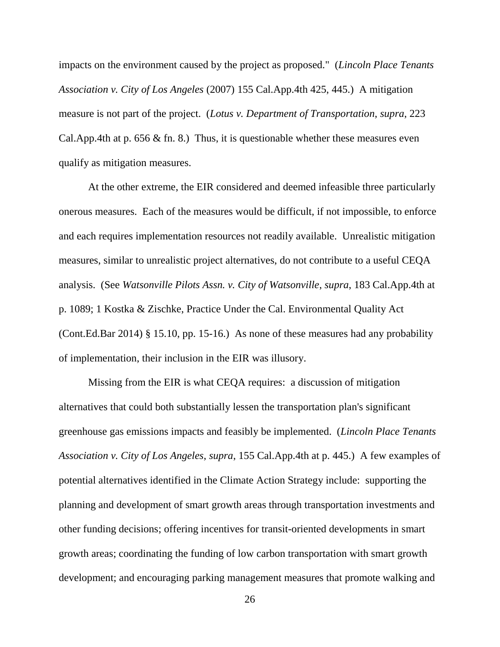impacts on the environment caused by the project as proposed." (*Lincoln Place Tenants Association v. City of Los Angeles* (2007) 155 Cal.App.4th 425, 445.) A mitigation measure is not part of the project. (*Lotus v. Department of Transportation*, *supra*, 223 Cal.App.4th at p. 656  $\&$  fn. 8.) Thus, it is questionable whether these measures even qualify as mitigation measures.

At the other extreme, the EIR considered and deemed infeasible three particularly onerous measures. Each of the measures would be difficult, if not impossible, to enforce and each requires implementation resources not readily available. Unrealistic mitigation measures, similar to unrealistic project alternatives, do not contribute to a useful CEQA analysis. (See *Watsonville Pilots Assn. v. City of Watsonville*, *supra*, 183 Cal.App.4th at p. 1089; 1 Kostka & Zischke, Practice Under the Cal. Environmental Quality Act (Cont.Ed.Bar 2014) § 15.10, pp. 15-16.) As none of these measures had any probability of implementation, their inclusion in the EIR was illusory.

Missing from the EIR is what CEQA requires: a discussion of mitigation alternatives that could both substantially lessen the transportation plan's significant greenhouse gas emissions impacts and feasibly be implemented. (*Lincoln Place Tenants Association v. City of Los Angeles*, *supra*, 155 Cal.App.4th at p. 445.) A few examples of potential alternatives identified in the Climate Action Strategy include: supporting the planning and development of smart growth areas through transportation investments and other funding decisions; offering incentives for transit-oriented developments in smart growth areas; coordinating the funding of low carbon transportation with smart growth development; and encouraging parking management measures that promote walking and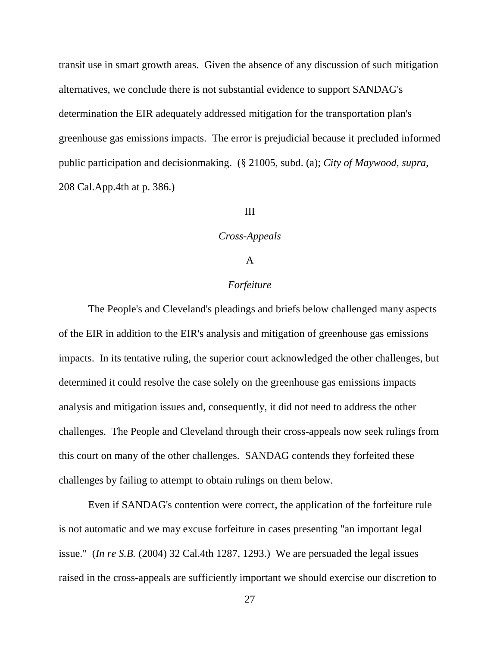transit use in smart growth areas. Given the absence of any discussion of such mitigation alternatives, we conclude there is not substantial evidence to support SANDAG's determination the EIR adequately addressed mitigation for the transportation plan's greenhouse gas emissions impacts. The error is prejudicial because it precluded informed public participation and decisionmaking. (§ 21005, subd. (a); *City of Maywood*, *supra*, 208 Cal.App.4th at p. 386.)

# III

### *Cross-Appeals*

## A

# *Forfeiture*

The People's and Cleveland's pleadings and briefs below challenged many aspects of the EIR in addition to the EIR's analysis and mitigation of greenhouse gas emissions impacts. In its tentative ruling, the superior court acknowledged the other challenges, but determined it could resolve the case solely on the greenhouse gas emissions impacts analysis and mitigation issues and, consequently, it did not need to address the other challenges. The People and Cleveland through their cross-appeals now seek rulings from this court on many of the other challenges. SANDAG contends they forfeited these challenges by failing to attempt to obtain rulings on them below.

Even if SANDAG's contention were correct, the application of the forfeiture rule is not automatic and we may excuse forfeiture in cases presenting "an important legal issue." (*In re S.B.* (2004) 32 Cal.4th 1287, 1293.) We are persuaded the legal issues raised in the cross-appeals are sufficiently important we should exercise our discretion to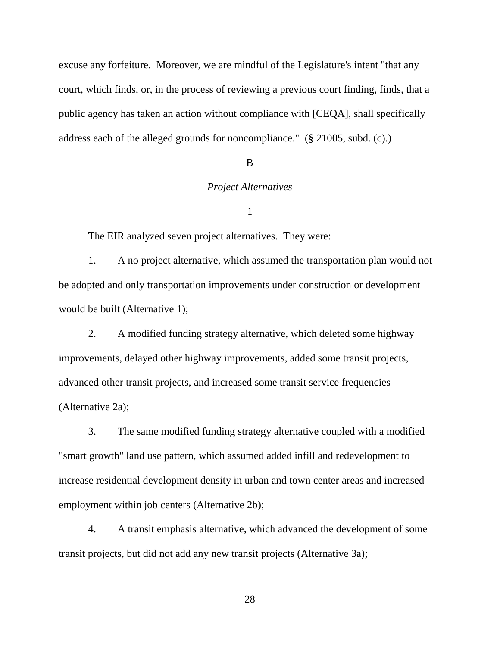excuse any forfeiture. Moreover, we are mindful of the Legislature's intent "that any court, which finds, or, in the process of reviewing a previous court finding, finds, that a public agency has taken an action without compliance with [CEQA], shall specifically address each of the alleged grounds for noncompliance." (§ 21005, subd. (c).)

#### B

## *Project Alternatives*

### 1

The EIR analyzed seven project alternatives. They were:

1. A no project alternative, which assumed the transportation plan would not be adopted and only transportation improvements under construction or development would be built (Alternative 1);

2. A modified funding strategy alternative, which deleted some highway improvements, delayed other highway improvements, added some transit projects, advanced other transit projects, and increased some transit service frequencies (Alternative 2a);

3. The same modified funding strategy alternative coupled with a modified "smart growth" land use pattern, which assumed added infill and redevelopment to increase residential development density in urban and town center areas and increased employment within job centers (Alternative 2b);

4. A transit emphasis alternative, which advanced the development of some transit projects, but did not add any new transit projects (Alternative 3a);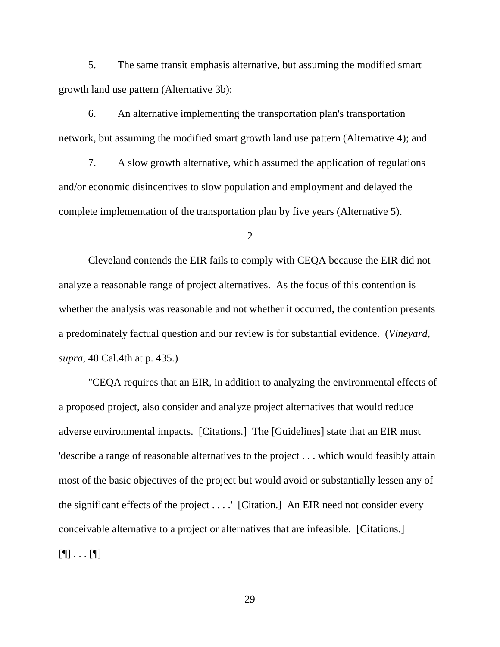5. The same transit emphasis alternative, but assuming the modified smart growth land use pattern (Alternative 3b);

6. An alternative implementing the transportation plan's transportation network, but assuming the modified smart growth land use pattern (Alternative 4); and

7. A slow growth alternative, which assumed the application of regulations and/or economic disincentives to slow population and employment and delayed the complete implementation of the transportation plan by five years (Alternative 5).

2

Cleveland contends the EIR fails to comply with CEQA because the EIR did not analyze a reasonable range of project alternatives. As the focus of this contention is whether the analysis was reasonable and not whether it occurred, the contention presents a predominately factual question and our review is for substantial evidence. (*Vineyard*, *supra*, 40 Cal.4th at p. 435.)

"CEQA requires that an EIR, in addition to analyzing the environmental effects of a proposed project, also consider and analyze project alternatives that would reduce adverse environmental impacts. [Citations.] The [Guidelines] state that an EIR must 'describe a range of reasonable alternatives to the project . . . which would feasibly attain most of the basic objectives of the project but would avoid or substantially lessen any of the significant effects of the project . . . .' [Citation.] An EIR need not consider every conceivable alternative to a project or alternatives that are infeasible. [Citations.]  $[\P]$  . . .  $[\P]$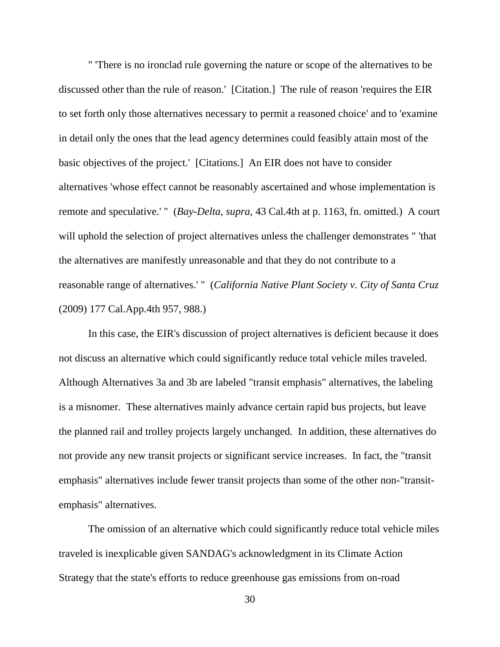" 'There is no ironclad rule governing the nature or scope of the alternatives to be discussed other than the rule of reason.' [Citation.] The rule of reason 'requires the EIR to set forth only those alternatives necessary to permit a reasoned choice' and to 'examine in detail only the ones that the lead agency determines could feasibly attain most of the basic objectives of the project.' [Citations.] An EIR does not have to consider alternatives 'whose effect cannot be reasonably ascertained and whose implementation is remote and speculative.' " (*Bay-Delta*, *supra*, 43 Cal.4th at p. 1163, fn. omitted.) A court will uphold the selection of project alternatives unless the challenger demonstrates " 'that the alternatives are manifestly unreasonable and that they do not contribute to a reasonable range of alternatives.' " (*California Native Plant Society v. City of Santa Cruz* (2009) 177 Cal.App.4th 957, 988.)

In this case, the EIR's discussion of project alternatives is deficient because it does not discuss an alternative which could significantly reduce total vehicle miles traveled. Although Alternatives 3a and 3b are labeled "transit emphasis" alternatives, the labeling is a misnomer. These alternatives mainly advance certain rapid bus projects, but leave the planned rail and trolley projects largely unchanged. In addition, these alternatives do not provide any new transit projects or significant service increases. In fact, the "transit emphasis" alternatives include fewer transit projects than some of the other non-"transitemphasis" alternatives.

The omission of an alternative which could significantly reduce total vehicle miles traveled is inexplicable given SANDAG's acknowledgment in its Climate Action Strategy that the state's efforts to reduce greenhouse gas emissions from on-road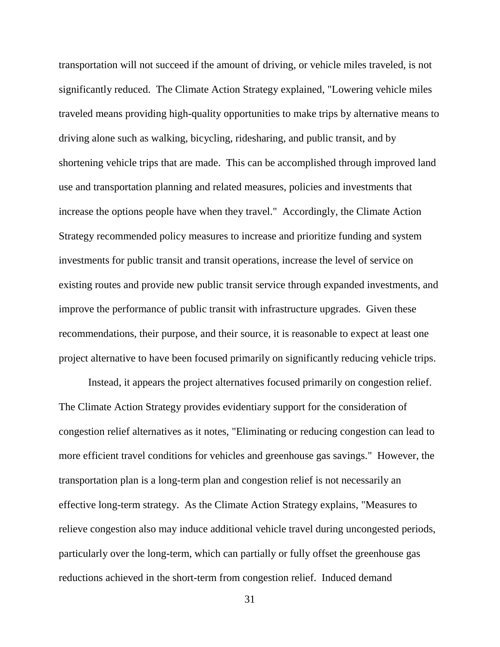transportation will not succeed if the amount of driving, or vehicle miles traveled, is not significantly reduced. The Climate Action Strategy explained, "Lowering vehicle miles traveled means providing high-quality opportunities to make trips by alternative means to driving alone such as walking, bicycling, ridesharing, and public transit, and by shortening vehicle trips that are made. This can be accomplished through improved land use and transportation planning and related measures, policies and investments that increase the options people have when they travel." Accordingly, the Climate Action Strategy recommended policy measures to increase and prioritize funding and system investments for public transit and transit operations, increase the level of service on existing routes and provide new public transit service through expanded investments, and improve the performance of public transit with infrastructure upgrades. Given these recommendations, their purpose, and their source, it is reasonable to expect at least one project alternative to have been focused primarily on significantly reducing vehicle trips.

Instead, it appears the project alternatives focused primarily on congestion relief. The Climate Action Strategy provides evidentiary support for the consideration of congestion relief alternatives as it notes, "Eliminating or reducing congestion can lead to more efficient travel conditions for vehicles and greenhouse gas savings." However, the transportation plan is a long-term plan and congestion relief is not necessarily an effective long-term strategy. As the Climate Action Strategy explains, "Measures to relieve congestion also may induce additional vehicle travel during uncongested periods, particularly over the long-term, which can partially or fully offset the greenhouse gas reductions achieved in the short-term from congestion relief. Induced demand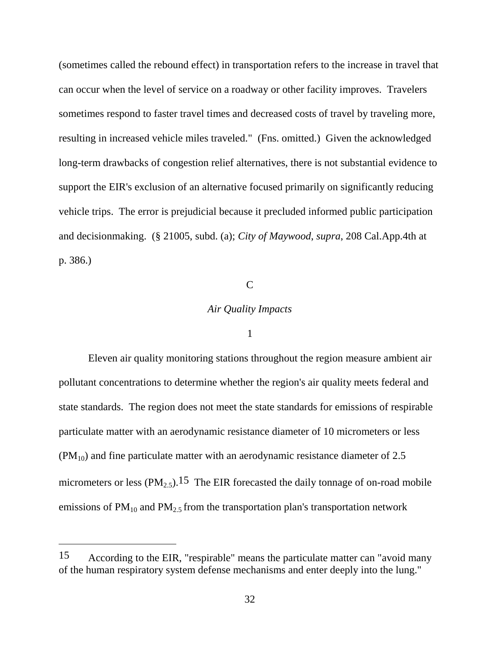(sometimes called the rebound effect) in transportation refers to the increase in travel that can occur when the level of service on a roadway or other facility improves. Travelers sometimes respond to faster travel times and decreased costs of travel by traveling more, resulting in increased vehicle miles traveled." (Fns. omitted.) Given the acknowledged long-term drawbacks of congestion relief alternatives, there is not substantial evidence to support the EIR's exclusion of an alternative focused primarily on significantly reducing vehicle trips. The error is prejudicial because it precluded informed public participation and decisionmaking. (§ 21005, subd. (a); *City of Maywood*, *supra*, 208 Cal.App.4th at p. 386.)

# $\mathcal{C}$

## *Air Quality Impacts*

#### 1

Eleven air quality monitoring stations throughout the region measure ambient air pollutant concentrations to determine whether the region's air quality meets federal and state standards. The region does not meet the state standards for emissions of respirable particulate matter with an aerodynamic resistance diameter of 10 micrometers or less  $(PM_{10})$  and fine particulate matter with an aerodynamic resistance diameter of 2.5 micrometers or less  $(PM_{2.5})$ .<sup>15</sup> The EIR forecasted the daily tonnage of on-road mobile emissions of  $PM_{10}$  and  $PM_{2.5}$  from the transportation plan's transportation network

<sup>15</sup> According to the EIR, "respirable" means the particulate matter can "avoid many of the human respiratory system defense mechanisms and enter deeply into the lung."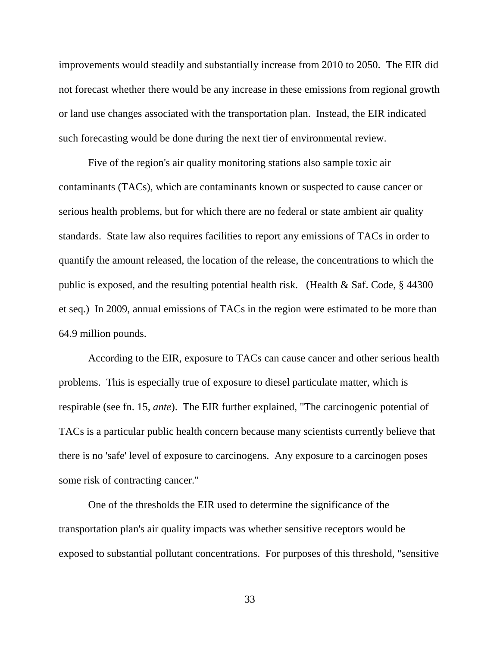improvements would steadily and substantially increase from 2010 to 2050. The EIR did not forecast whether there would be any increase in these emissions from regional growth or land use changes associated with the transportation plan. Instead, the EIR indicated such forecasting would be done during the next tier of environmental review.

Five of the region's air quality monitoring stations also sample toxic air contaminants (TACs), which are contaminants known or suspected to cause cancer or serious health problems, but for which there are no federal or state ambient air quality standards. State law also requires facilities to report any emissions of TACs in order to quantify the amount released, the location of the release, the concentrations to which the public is exposed, and the resulting potential health risk. (Health  $&$  Saf. Code,  $&$  44300 et seq.) In 2009, annual emissions of TACs in the region were estimated to be more than 64.9 million pounds.

According to the EIR, exposure to TACs can cause cancer and other serious health problems. This is especially true of exposure to diesel particulate matter, which is respirable (see fn. 15, *ante*). The EIR further explained, "The carcinogenic potential of TACs is a particular public health concern because many scientists currently believe that there is no 'safe' level of exposure to carcinogens. Any exposure to a carcinogen poses some risk of contracting cancer."

One of the thresholds the EIR used to determine the significance of the transportation plan's air quality impacts was whether sensitive receptors would be exposed to substantial pollutant concentrations. For purposes of this threshold, "sensitive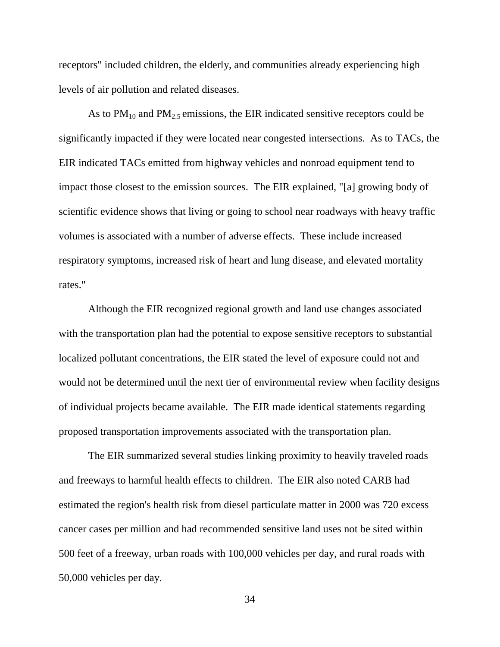receptors" included children, the elderly, and communities already experiencing high levels of air pollution and related diseases.

As to  $PM_{10}$  and  $PM_{2.5}$  emissions, the EIR indicated sensitive receptors could be significantly impacted if they were located near congested intersections. As to TACs, the EIR indicated TACs emitted from highway vehicles and nonroad equipment tend to impact those closest to the emission sources. The EIR explained, "[a] growing body of scientific evidence shows that living or going to school near roadways with heavy traffic volumes is associated with a number of adverse effects. These include increased respiratory symptoms, increased risk of heart and lung disease, and elevated mortality rates."

Although the EIR recognized regional growth and land use changes associated with the transportation plan had the potential to expose sensitive receptors to substantial localized pollutant concentrations, the EIR stated the level of exposure could not and would not be determined until the next tier of environmental review when facility designs of individual projects became available. The EIR made identical statements regarding proposed transportation improvements associated with the transportation plan.

The EIR summarized several studies linking proximity to heavily traveled roads and freeways to harmful health effects to children. The EIR also noted CARB had estimated the region's health risk from diesel particulate matter in 2000 was 720 excess cancer cases per million and had recommended sensitive land uses not be sited within 500 feet of a freeway, urban roads with 100,000 vehicles per day, and rural roads with 50,000 vehicles per day.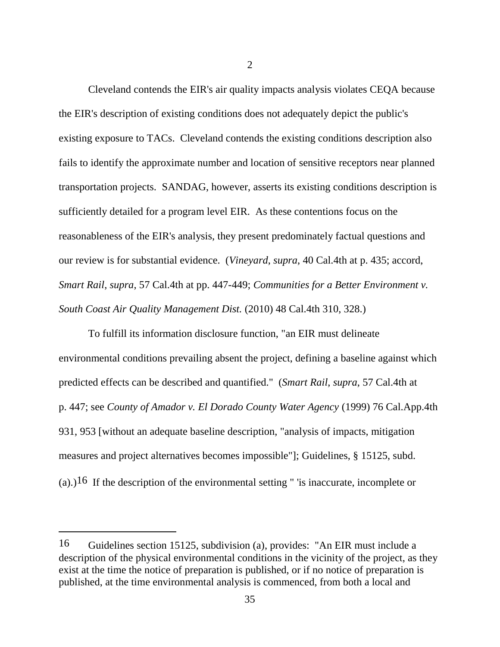Cleveland contends the EIR's air quality impacts analysis violates CEQA because the EIR's description of existing conditions does not adequately depict the public's existing exposure to TACs. Cleveland contends the existing conditions description also fails to identify the approximate number and location of sensitive receptors near planned transportation projects. SANDAG, however, asserts its existing conditions description is sufficiently detailed for a program level EIR. As these contentions focus on the reasonableness of the EIR's analysis, they present predominately factual questions and our review is for substantial evidence. (*Vineyard*, *supra*, 40 Cal.4th at p. 435; accord, *Smart Rail*, *supra*, 57 Cal.4th at pp. 447-449; *Communities for a Better Environment v. South Coast Air Quality Management Dist.* (2010) 48 Cal.4th 310, 328.)

To fulfill its information disclosure function, "an EIR must delineate environmental conditions prevailing absent the project, defining a baseline against which predicted effects can be described and quantified." (*Smart Rail*, *supra*, 57 Cal.4th at p. 447; see *County of Amador v. El Dorado County Water Agency* (1999) 76 Cal.App.4th 931, 953 [without an adequate baseline description, "analysis of impacts, mitigation measures and project alternatives becomes impossible"]; Guidelines, § 15125, subd. (a).)<sup>16</sup> If the description of the environmental setting " 'is inaccurate, incomplete or

<sup>16</sup> Guidelines section 15125, subdivision (a), provides: "An EIR must include a description of the physical environmental conditions in the vicinity of the project, as they exist at the time the notice of preparation is published, or if no notice of preparation is published, at the time environmental analysis is commenced, from both a local and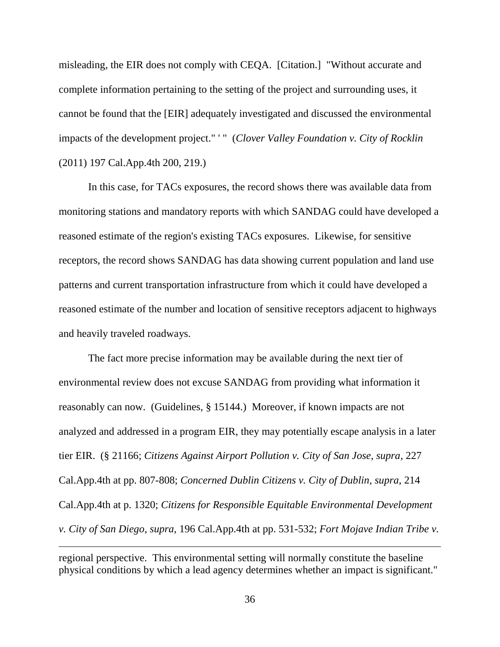misleading, the EIR does not comply with CEQA. [Citation.] "Without accurate and complete information pertaining to the setting of the project and surrounding uses, it cannot be found that the [EIR] adequately investigated and discussed the environmental impacts of the development project." ' " (*Clover Valley Foundation v. City of Rocklin* (2011) 197 Cal.App.4th 200, 219.)

In this case, for TACs exposures, the record shows there was available data from monitoring stations and mandatory reports with which SANDAG could have developed a reasoned estimate of the region's existing TACs exposures. Likewise, for sensitive receptors, the record shows SANDAG has data showing current population and land use patterns and current transportation infrastructure from which it could have developed a reasoned estimate of the number and location of sensitive receptors adjacent to highways and heavily traveled roadways.

The fact more precise information may be available during the next tier of environmental review does not excuse SANDAG from providing what information it reasonably can now. (Guidelines, § 15144.) Moreover, if known impacts are not analyzed and addressed in a program EIR, they may potentially escape analysis in a later tier EIR. (§ 21166; *Citizens Against Airport Pollution v. City of San Jose*, *supra*, 227 Cal.App.4th at pp. 807-808; *Concerned Dublin Citizens v. City of Dublin*, *supra*, 214 Cal.App.4th at p. 1320; *Citizens for Responsible Equitable Environmental Development v. City of San Diego*, *supra*, 196 Cal.App.4th at pp. 531-532; *Fort Mojave Indian Tribe v.* 

regional perspective. This environmental setting will normally constitute the baseline physical conditions by which a lead agency determines whether an impact is significant."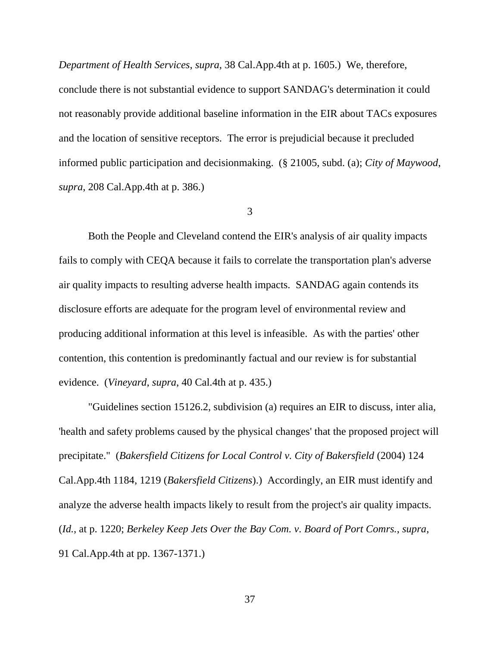*Department of Health Services*, *supra*, 38 Cal.App.4th at p. 1605.) We, therefore, conclude there is not substantial evidence to support SANDAG's determination it could not reasonably provide additional baseline information in the EIR about TACs exposures and the location of sensitive receptors. The error is prejudicial because it precluded informed public participation and decisionmaking. (§ 21005, subd. (a); *City of Maywood*, *supra*, 208 Cal.App.4th at p. 386.)

3

Both the People and Cleveland contend the EIR's analysis of air quality impacts fails to comply with CEQA because it fails to correlate the transportation plan's adverse air quality impacts to resulting adverse health impacts. SANDAG again contends its disclosure efforts are adequate for the program level of environmental review and producing additional information at this level is infeasible. As with the parties' other contention, this contention is predominantly factual and our review is for substantial evidence. (*Vineyard*, *supra*, 40 Cal.4th at p. 435.)

"Guidelines section 15126.2, subdivision (a) requires an EIR to discuss, inter alia, 'health and safety problems caused by the physical changes' that the proposed project will precipitate." (*Bakersfield Citizens for Local Control v. City of Bakersfield* (2004) 124 Cal.App.4th 1184, 1219 (*Bakersfield Citizens*).) Accordingly, an EIR must identify and analyze the adverse health impacts likely to result from the project's air quality impacts. (*Id.*, at p. 1220; *Berkeley Keep Jets Over the Bay Com. v. Board of Port Comrs.*, *supra*, 91 Cal.App.4th at pp. 1367-1371.)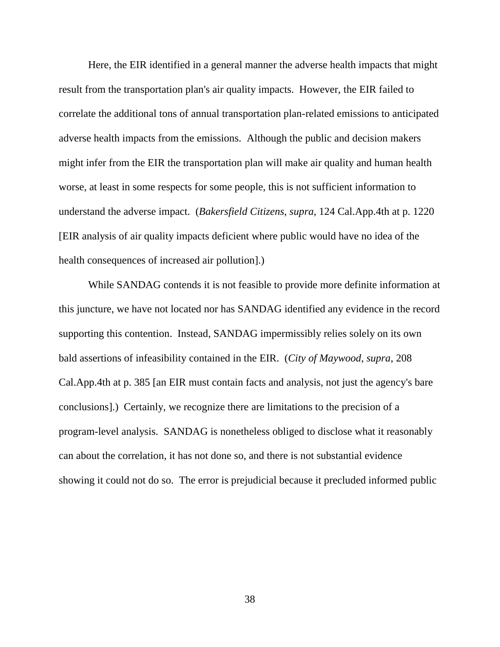Here, the EIR identified in a general manner the adverse health impacts that might result from the transportation plan's air quality impacts. However, the EIR failed to correlate the additional tons of annual transportation plan-related emissions to anticipated adverse health impacts from the emissions. Although the public and decision makers might infer from the EIR the transportation plan will make air quality and human health worse, at least in some respects for some people, this is not sufficient information to understand the adverse impact. (*Bakersfield Citizens*, *supra*, 124 Cal.App.4th at p. 1220 [EIR analysis of air quality impacts deficient where public would have no idea of the health consequences of increased air pollution].)

While SANDAG contends it is not feasible to provide more definite information at this juncture, we have not located nor has SANDAG identified any evidence in the record supporting this contention. Instead, SANDAG impermissibly relies solely on its own bald assertions of infeasibility contained in the EIR. (*City of Maywood*, *supra*, 208 Cal.App.4th at p. 385 [an EIR must contain facts and analysis, not just the agency's bare conclusions].) Certainly, we recognize there are limitations to the precision of a program-level analysis. SANDAG is nonetheless obliged to disclose what it reasonably can about the correlation, it has not done so, and there is not substantial evidence showing it could not do so. The error is prejudicial because it precluded informed public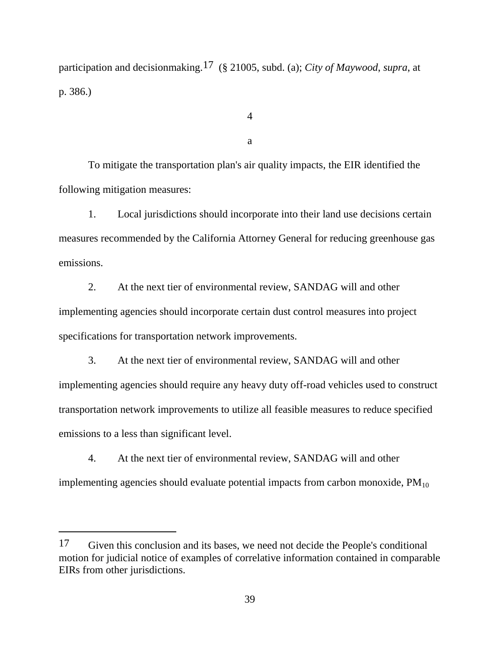participation and decisionmaking.17 (§ 21005, subd. (a); *City of Maywood*, *supra*, at p. 386.)

4

a

To mitigate the transportation plan's air quality impacts, the EIR identified the following mitigation measures:

1. Local jurisdictions should incorporate into their land use decisions certain measures recommended by the California Attorney General for reducing greenhouse gas emissions.

2. At the next tier of environmental review, SANDAG will and other implementing agencies should incorporate certain dust control measures into project specifications for transportation network improvements.

3. At the next tier of environmental review, SANDAG will and other implementing agencies should require any heavy duty off-road vehicles used to construct transportation network improvements to utilize all feasible measures to reduce specified emissions to a less than significant level.

4. At the next tier of environmental review, SANDAG will and other implementing agencies should evaluate potential impacts from carbon monoxide,  $PM_{10}$ 

<sup>17</sup> Given this conclusion and its bases, we need not decide the People's conditional motion for judicial notice of examples of correlative information contained in comparable EIRs from other jurisdictions.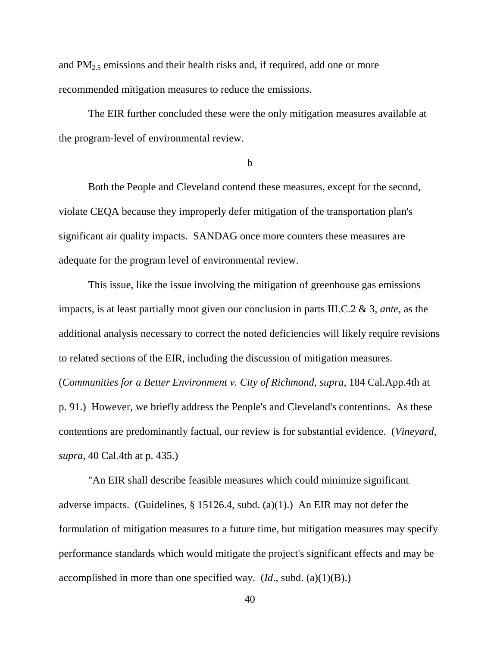and  $PM_{2.5}$  emissions and their health risks and, if required, add one or more recommended mitigation measures to reduce the emissions.

The EIR further concluded these were the only mitigation measures available at the program-level of environmental review.

b

Both the People and Cleveland contend these measures, except for the second, violate CEQA because they improperly defer mitigation of the transportation plan's significant air quality impacts. SANDAG once more counters these measures are adequate for the program level of environmental review.

This issue, like the issue involving the mitigation of greenhouse gas emissions impacts, is at least partially moot given our conclusion in parts III.C.2 & 3, *ante*, as the additional analysis necessary to correct the noted deficiencies will likely require revisions to related sections of the EIR, including the discussion of mitigation measures. (*Communities for a Better Environment v. City of Richmond*, *supra*, 184 Cal.App.4th at p. 91.) However, we briefly address the People's and Cleveland's contentions. As these contentions are predominantly factual, our review is for substantial evidence. (*Vineyard*, *supra*, 40 Cal.4th at p. 435.)

"An EIR shall describe feasible measures which could minimize significant adverse impacts. (Guidelines,  $\S$  15126.4, subd. (a)(1).) An EIR may not defer the formulation of mitigation measures to a future time, but mitigation measures may specify performance standards which would mitigate the project's significant effects and may be accomplished in more than one specified way. (*Id*., subd. (a)(1)(B).)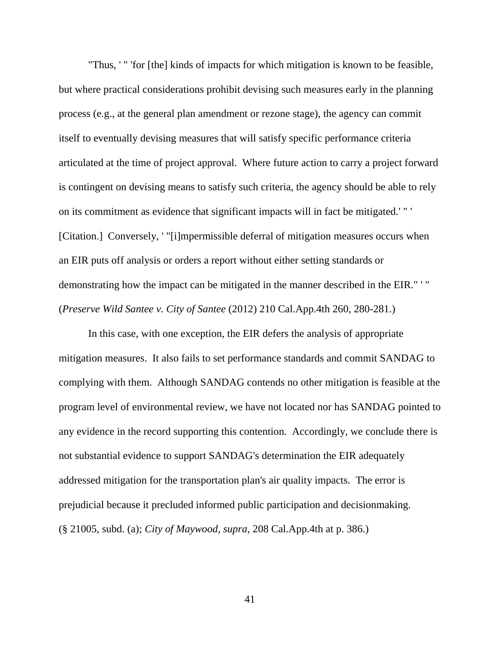"Thus, ' " 'for [the] kinds of impacts for which mitigation is known to be feasible, but where practical considerations prohibit devising such measures early in the planning process (e.g., at the general plan amendment or rezone stage), the agency can commit itself to eventually devising measures that will satisfy specific performance criteria articulated at the time of project approval. Where future action to carry a project forward is contingent on devising means to satisfy such criteria, the agency should be able to rely on its commitment as evidence that significant impacts will in fact be mitigated.' " ' [Citation.] Conversely, '"[i]mpermissible deferral of mitigation measures occurs when an EIR puts off analysis or orders a report without either setting standards or demonstrating how the impact can be mitigated in the manner described in the EIR." ' " (*Preserve Wild Santee v. City of Santee* (2012) 210 Cal.App.4th 260, 280-281.)

In this case, with one exception, the EIR defers the analysis of appropriate mitigation measures. It also fails to set performance standards and commit SANDAG to complying with them. Although SANDAG contends no other mitigation is feasible at the program level of environmental review, we have not located nor has SANDAG pointed to any evidence in the record supporting this contention. Accordingly, we conclude there is not substantial evidence to support SANDAG's determination the EIR adequately addressed mitigation for the transportation plan's air quality impacts. The error is prejudicial because it precluded informed public participation and decisionmaking. (§ 21005, subd. (a); *City of Maywood*, *supra*, 208 Cal.App.4th at p. 386.)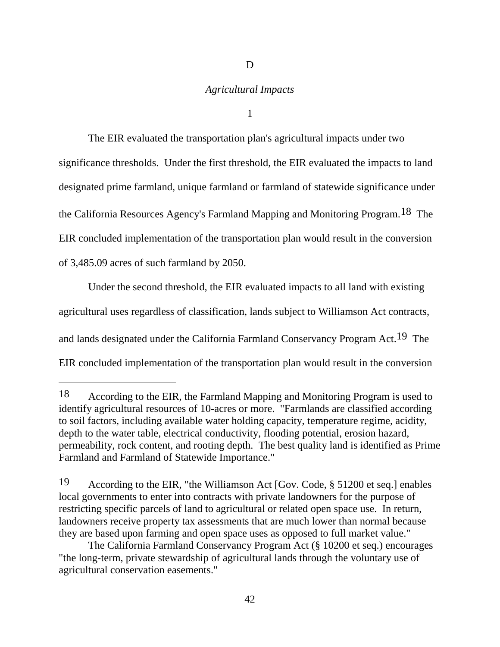# *Agricultural Impacts*

D

1

The EIR evaluated the transportation plan's agricultural impacts under two significance thresholds. Under the first threshold, the EIR evaluated the impacts to land designated prime farmland, unique farmland or farmland of statewide significance under the California Resources Agency's Farmland Mapping and Monitoring Program.18 The EIR concluded implementation of the transportation plan would result in the conversion of 3,485.09 acres of such farmland by 2050.

Under the second threshold, the EIR evaluated impacts to all land with existing agricultural uses regardless of classification, lands subject to Williamson Act contracts, and lands designated under the California Farmland Conservancy Program Act.19 The EIR concluded implementation of the transportation plan would result in the conversion

 $\overline{a}$ 

<sup>18</sup> According to the EIR, the Farmland Mapping and Monitoring Program is used to identify agricultural resources of 10-acres or more. "Farmlands are classified according to soil factors, including available water holding capacity, temperature regime, acidity, depth to the water table, electrical conductivity, flooding potential, erosion hazard, permeability, rock content, and rooting depth. The best quality land is identified as Prime Farmland and Farmland of Statewide Importance."

<sup>19</sup> According to the EIR, "the Williamson Act [Gov. Code, § 51200 et seq.] enables local governments to enter into contracts with private landowners for the purpose of restricting specific parcels of land to agricultural or related open space use. In return, landowners receive property tax assessments that are much lower than normal because they are based upon farming and open space uses as opposed to full market value."

The California Farmland Conservancy Program Act (§ 10200 et seq.) encourages "the long-term, private stewardship of agricultural lands through the voluntary use of agricultural conservation easements."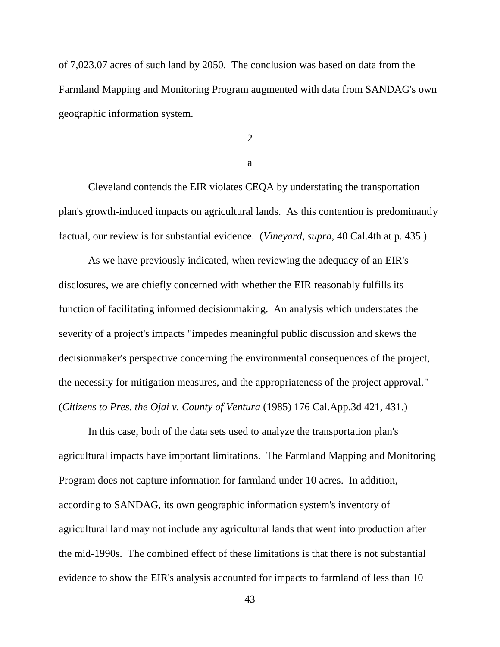of 7,023.07 acres of such land by 2050. The conclusion was based on data from the Farmland Mapping and Monitoring Program augmented with data from SANDAG's own geographic information system.

2

a

Cleveland contends the EIR violates CEQA by understating the transportation plan's growth-induced impacts on agricultural lands. As this contention is predominantly factual, our review is for substantial evidence. (*Vineyard*, *supra*, 40 Cal.4th at p. 435.)

As we have previously indicated, when reviewing the adequacy of an EIR's disclosures, we are chiefly concerned with whether the EIR reasonably fulfills its function of facilitating informed decisionmaking. An analysis which understates the severity of a project's impacts "impedes meaningful public discussion and skews the decisionmaker's perspective concerning the environmental consequences of the project, the necessity for mitigation measures, and the appropriateness of the project approval." (*Citizens to Pres. the Ojai v. County of Ventura* (1985) 176 Cal.App.3d 421, 431.)

In this case, both of the data sets used to analyze the transportation plan's agricultural impacts have important limitations. The Farmland Mapping and Monitoring Program does not capture information for farmland under 10 acres. In addition, according to SANDAG, its own geographic information system's inventory of agricultural land may not include any agricultural lands that went into production after the mid-1990s. The combined effect of these limitations is that there is not substantial evidence to show the EIR's analysis accounted for impacts to farmland of less than 10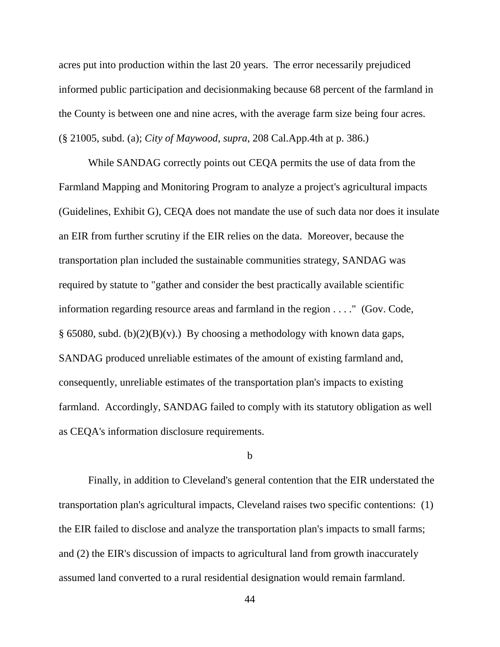acres put into production within the last 20 years. The error necessarily prejudiced informed public participation and decisionmaking because 68 percent of the farmland in the County is between one and nine acres, with the average farm size being four acres. (§ 21005, subd. (a); *City of Maywood*, *supra*, 208 Cal.App.4th at p. 386.)

While SANDAG correctly points out CEQA permits the use of data from the Farmland Mapping and Monitoring Program to analyze a project's agricultural impacts (Guidelines, Exhibit G), CEQA does not mandate the use of such data nor does it insulate an EIR from further scrutiny if the EIR relies on the data. Moreover, because the transportation plan included the sustainable communities strategy, SANDAG was required by statute to "gather and consider the best practically available scientific information regarding resource areas and farmland in the region . . . ." (Gov. Code, § 65080, subd. (b)(2)(B)(v).) By choosing a methodology with known data gaps, SANDAG produced unreliable estimates of the amount of existing farmland and, consequently, unreliable estimates of the transportation plan's impacts to existing farmland. Accordingly, SANDAG failed to comply with its statutory obligation as well as CEQA's information disclosure requirements.

#### b

Finally, in addition to Cleveland's general contention that the EIR understated the transportation plan's agricultural impacts, Cleveland raises two specific contentions: (1) the EIR failed to disclose and analyze the transportation plan's impacts to small farms; and (2) the EIR's discussion of impacts to agricultural land from growth inaccurately assumed land converted to a rural residential designation would remain farmland.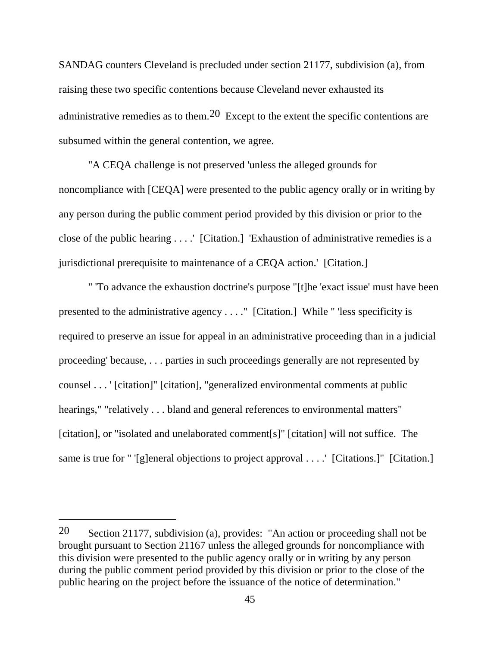SANDAG counters Cleveland is precluded under section 21177, subdivision (a), from raising these two specific contentions because Cleveland never exhausted its administrative remedies as to them.<sup>20</sup> Except to the extent the specific contentions are subsumed within the general contention, we agree.

"A CEQA challenge is not preserved 'unless the alleged grounds for noncompliance with [CEQA] were presented to the public agency orally or in writing by any person during the public comment period provided by this division or prior to the close of the public hearing . . . .' [Citation.] 'Exhaustion of administrative remedies is a jurisdictional prerequisite to maintenance of a CEQA action.' [Citation.]

" 'To advance the exhaustion doctrine's purpose "[t]he 'exact issue' must have been presented to the administrative agency . . . ." [Citation.] While " 'less specificity is required to preserve an issue for appeal in an administrative proceeding than in a judicial proceeding' because, . . . parties in such proceedings generally are not represented by counsel . . . ' [citation]" [citation], "generalized environmental comments at public hearings," "relatively . . . bland and general references to environmental matters" [citation], or "isolated and unelaborated comment[s]" [citation] will not suffice. The same is true for " '[g]eneral objections to project approval . . . . ' [Citations.]" [Citation.]

<sup>20</sup> Section 21177, subdivision (a), provides: "An action or proceeding shall not be brought pursuant to Section 21167 unless the alleged grounds for noncompliance with this division were presented to the public agency orally or in writing by any person during the public comment period provided by this division or prior to the close of the public hearing on the project before the issuance of the notice of determination."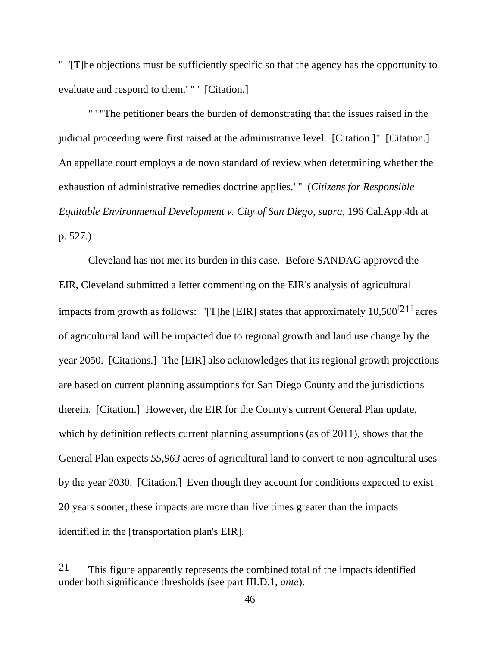" '[T]he objections must be sufficiently specific so that the agency has the opportunity to evaluate and respond to them.' " ' [Citation.]

" ' "The petitioner bears the burden of demonstrating that the issues raised in the judicial proceeding were first raised at the administrative level. [Citation.]" [Citation.] An appellate court employs a de novo standard of review when determining whether the exhaustion of administrative remedies doctrine applies.' " (*Citizens for Responsible Equitable Environmental Development v. City of San Diego*, *supra*, 196 Cal.App.4th at p. 527.)

Cleveland has not met its burden in this case. Before SANDAG approved the EIR, Cleveland submitted a letter commenting on the EIR's analysis of agricultural impacts from growth as follows: "[T]he [EIR] states that approximately  $10,500^{[21]}$  acres of agricultural land will be impacted due to regional growth and land use change by the year 2050. [Citations.] The [EIR] also acknowledges that its regional growth projections are based on current planning assumptions for San Diego County and the jurisdictions therein. [Citation.] However, the EIR for the County's current General Plan update, which by definition reflects current planning assumptions (as of 2011), shows that the General Plan expects *55,963* acres of agricultural land to convert to non-agricultural uses by the year 2030. [Citation.] Even though they account for conditions expected to exist 20 years sooner, these impacts are more than five times greater than the impacts identified in the [transportation plan's EIR].

 $\overline{a}$ 

<sup>21</sup> This figure apparently represents the combined total of the impacts identified under both significance thresholds (see part III.D.1, *ante*).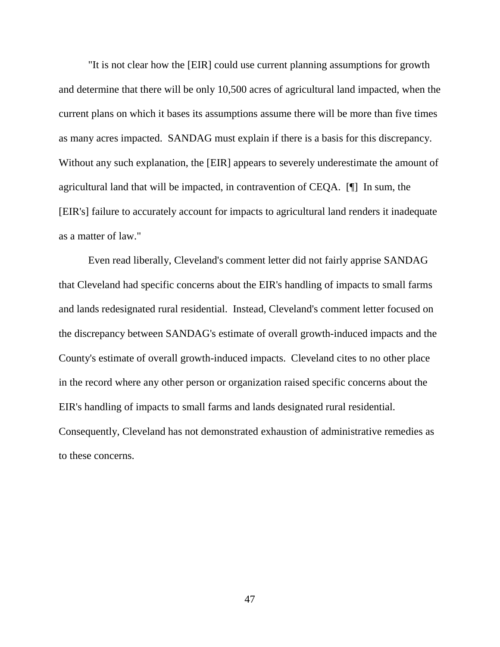"It is not clear how the [EIR] could use current planning assumptions for growth and determine that there will be only 10,500 acres of agricultural land impacted, when the current plans on which it bases its assumptions assume there will be more than five times as many acres impacted. SANDAG must explain if there is a basis for this discrepancy. Without any such explanation, the [EIR] appears to severely underestimate the amount of agricultural land that will be impacted, in contravention of CEQA. [¶] In sum, the [EIR's] failure to accurately account for impacts to agricultural land renders it inadequate as a matter of law."

Even read liberally, Cleveland's comment letter did not fairly apprise SANDAG that Cleveland had specific concerns about the EIR's handling of impacts to small farms and lands redesignated rural residential. Instead, Cleveland's comment letter focused on the discrepancy between SANDAG's estimate of overall growth-induced impacts and the County's estimate of overall growth-induced impacts. Cleveland cites to no other place in the record where any other person or organization raised specific concerns about the EIR's handling of impacts to small farms and lands designated rural residential. Consequently, Cleveland has not demonstrated exhaustion of administrative remedies as to these concerns.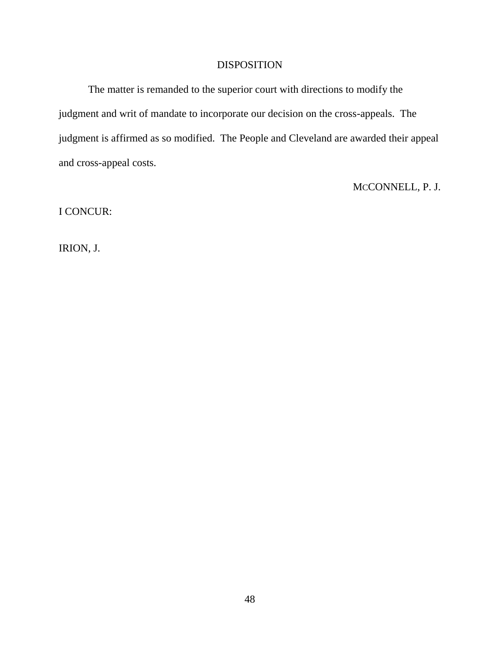### DISPOSITION

The matter is remanded to the superior court with directions to modify the judgment and writ of mandate to incorporate our decision on the cross-appeals. The judgment is affirmed as so modified. The People and Cleveland are awarded their appeal and cross-appeal costs.

# MCCONNELL, P. J.

I CONCUR:

IRION, J.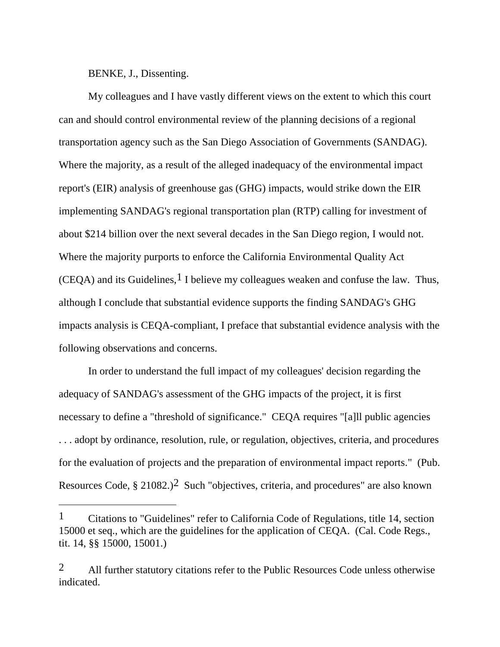BENKE, J., Dissenting.

My colleagues and I have vastly different views on the extent to which this court can and should control environmental review of the planning decisions of a regional transportation agency such as the San Diego Association of Governments (SANDAG). Where the majority, as a result of the alleged inadequacy of the environmental impact report's (EIR) analysis of greenhouse gas (GHG) impacts, would strike down the EIR implementing SANDAG's regional transportation plan (RTP) calling for investment of about \$214 billion over the next several decades in the San Diego region, I would not. Where the majority purports to enforce the California Environmental Quality Act  $(CEOA)$  and its Guidelines, <sup>1</sup> I believe my colleagues weaken and confuse the law. Thus, although I conclude that substantial evidence supports the finding SANDAG's GHG impacts analysis is CEQA-compliant, I preface that substantial evidence analysis with the following observations and concerns.

In order to understand the full impact of my colleagues' decision regarding the adequacy of SANDAG's assessment of the GHG impacts of the project, it is first necessary to define a "threshold of significance." CEQA requires "[a]ll public agencies . . . adopt by ordinance, resolution, rule, or regulation, objectives, criteria, and procedures for the evaluation of projects and the preparation of environmental impact reports." (Pub. Resources Code,  $\S 21082.$ )<sup>2</sup> Such "objectives, criteria, and procedures" are also known

<sup>1</sup> Citations to "Guidelines" refer to California Code of Regulations, title 14, section 15000 et seq., which are the guidelines for the application of CEQA. (Cal. Code Regs., tit. 14, §§ 15000, 15001.)

<sup>2</sup> All further statutory citations refer to the Public Resources Code unless otherwise indicated.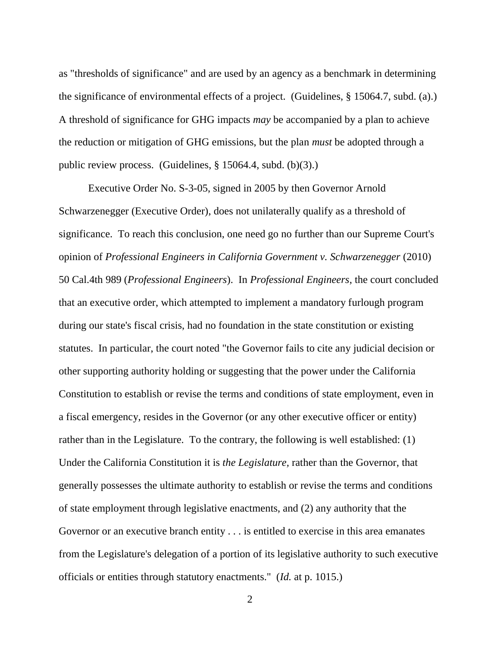as "thresholds of significance" and are used by an agency as a benchmark in determining the significance of environmental effects of a project. (Guidelines, § 15064.7, subd. (a).) A threshold of significance for GHG impacts *may* be accompanied by a plan to achieve the reduction or mitigation of GHG emissions, but the plan *must* be adopted through a public review process. (Guidelines, § 15064.4, subd. (b)(3).)

Executive Order No. S-3-05, signed in 2005 by then Governor Arnold Schwarzenegger (Executive Order), does not unilaterally qualify as a threshold of significance. To reach this conclusion, one need go no further than our Supreme Court's opinion of *Professional Engineers in California Government v. Schwarzenegger* (2010) 50 Cal.4th 989 (*Professional Engineers*). In *Professional Engineers*, the court concluded that an executive order, which attempted to implement a mandatory furlough program during our state's fiscal crisis, had no foundation in the state constitution or existing statutes. In particular, the court noted "the Governor fails to cite any judicial decision or other supporting authority holding or suggesting that the power under the California Constitution to establish or revise the terms and conditions of state employment, even in a fiscal emergency, resides in the Governor (or any other executive officer or entity) rather than in the Legislature. To the contrary, the following is well established: (1) Under the California Constitution it is *the Legislature,* rather than the Governor, that generally possesses the ultimate authority to establish or revise the terms and conditions of state employment through legislative enactments, and (2) any authority that the Governor or an executive branch entity . . . is entitled to exercise in this area emanates from the Legislature's delegation of a portion of its legislative authority to such executive officials or entities through statutory enactments." (*Id.* at p. 1015.)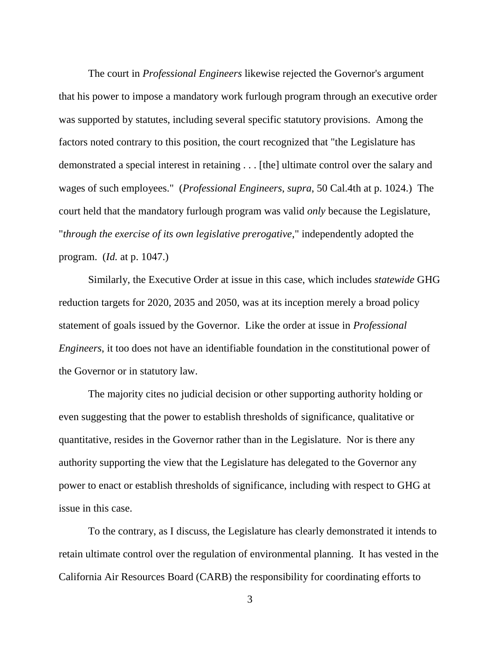The court in *Professional Engineers* likewise rejected the Governor's argument that his power to impose a mandatory work furlough program through an executive order was supported by statutes, including several specific statutory provisions. Among the factors noted contrary to this position, the court recognized that "the Legislature has demonstrated a special interest in retaining . . . [the] ultimate control over the salary and wages of such employees." (*Professional Engineers*, *supra*, 50 Cal.4th at p. 1024.) The court held that the mandatory furlough program was valid *only* because the Legislature, "*through the exercise of its own legislative prerogative*," independently adopted the program. (*Id.* at p. 1047.)

Similarly, the Executive Order at issue in this case, which includes *statewide* GHG reduction targets for 2020, 2035 and 2050, was at its inception merely a broad policy statement of goals issued by the Governor. Like the order at issue in *Professional Engineers*, it too does not have an identifiable foundation in the constitutional power of the Governor or in statutory law.

The majority cites no judicial decision or other supporting authority holding or even suggesting that the power to establish thresholds of significance, qualitative or quantitative, resides in the Governor rather than in the Legislature. Nor is there any authority supporting the view that the Legislature has delegated to the Governor any power to enact or establish thresholds of significance, including with respect to GHG at issue in this case.

To the contrary, as I discuss, the Legislature has clearly demonstrated it intends to retain ultimate control over the regulation of environmental planning. It has vested in the California Air Resources Board (CARB) the responsibility for coordinating efforts to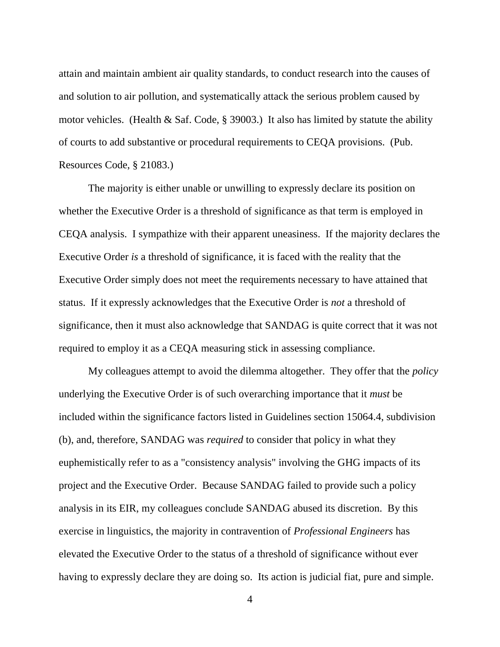attain and maintain ambient air quality standards, to conduct research into the causes of and solution to air pollution, and systematically attack the serious problem caused by motor vehicles. (Health & Saf. Code, § 39003.) It also has limited by statute the ability of courts to add substantive or procedural requirements to CEQA provisions. (Pub. Resources Code, § 21083.)

The majority is either unable or unwilling to expressly declare its position on whether the Executive Order is a threshold of significance as that term is employed in CEQA analysis. I sympathize with their apparent uneasiness. If the majority declares the Executive Order *is* a threshold of significance, it is faced with the reality that the Executive Order simply does not meet the requirements necessary to have attained that status. If it expressly acknowledges that the Executive Order is *not* a threshold of significance, then it must also acknowledge that SANDAG is quite correct that it was not required to employ it as a CEQA measuring stick in assessing compliance.

My colleagues attempt to avoid the dilemma altogether. They offer that the *policy* underlying the Executive Order is of such overarching importance that it *must* be included within the significance factors listed in Guidelines section 15064.4, subdivision (b), and, therefore, SANDAG was *required* to consider that policy in what they euphemistically refer to as a "consistency analysis" involving the GHG impacts of its project and the Executive Order. Because SANDAG failed to provide such a policy analysis in its EIR, my colleagues conclude SANDAG abused its discretion. By this exercise in linguistics, the majority in contravention of *Professional Engineers* has elevated the Executive Order to the status of a threshold of significance without ever having to expressly declare they are doing so. Its action is judicial fiat, pure and simple.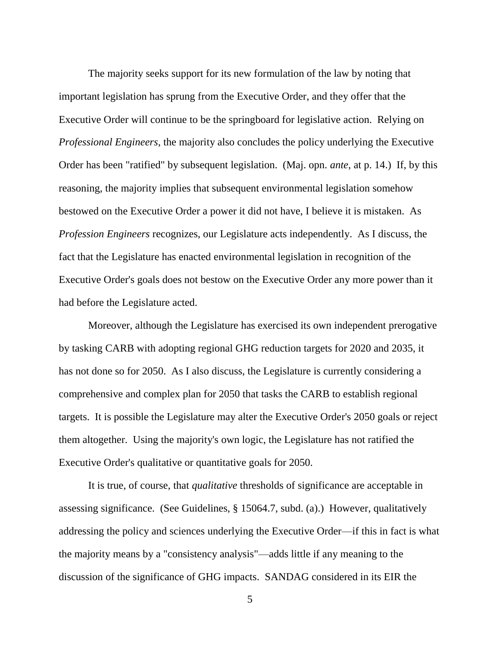The majority seeks support for its new formulation of the law by noting that important legislation has sprung from the Executive Order, and they offer that the Executive Order will continue to be the springboard for legislative action. Relying on *Professional Engineers*, the majority also concludes the policy underlying the Executive Order has been "ratified" by subsequent legislation. (Maj. opn. *ante*, at p. 14.) If, by this reasoning, the majority implies that subsequent environmental legislation somehow bestowed on the Executive Order a power it did not have, I believe it is mistaken. As *Profession Engineers* recognizes, our Legislature acts independently. As I discuss, the fact that the Legislature has enacted environmental legislation in recognition of the Executive Order's goals does not bestow on the Executive Order any more power than it had before the Legislature acted.

Moreover, although the Legislature has exercised its own independent prerogative by tasking CARB with adopting regional GHG reduction targets for 2020 and 2035, it has not done so for 2050. As I also discuss, the Legislature is currently considering a comprehensive and complex plan for 2050 that tasks the CARB to establish regional targets. It is possible the Legislature may alter the Executive Order's 2050 goals or reject them altogether. Using the majority's own logic, the Legislature has not ratified the Executive Order's qualitative or quantitative goals for 2050.

It is true, of course, that *qualitative* thresholds of significance are acceptable in assessing significance. (See Guidelines, § 15064.7, subd. (a).) However, qualitatively addressing the policy and sciences underlying the Executive Order—if this in fact is what the majority means by a "consistency analysis"—adds little if any meaning to the discussion of the significance of GHG impacts. SANDAG considered in its EIR the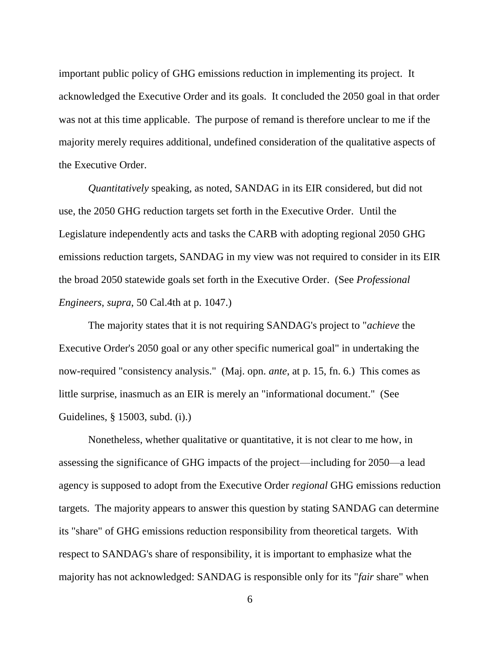important public policy of GHG emissions reduction in implementing its project. It acknowledged the Executive Order and its goals. It concluded the 2050 goal in that order was not at this time applicable. The purpose of remand is therefore unclear to me if the majority merely requires additional, undefined consideration of the qualitative aspects of the Executive Order.

*Quantitatively* speaking, as noted, SANDAG in its EIR considered, but did not use, the 2050 GHG reduction targets set forth in the Executive Order. Until the Legislature independently acts and tasks the CARB with adopting regional 2050 GHG emissions reduction targets, SANDAG in my view was not required to consider in its EIR the broad 2050 statewide goals set forth in the Executive Order. (See *Professional Engineers*, *supra*, 50 Cal.4th at p. 1047.)

The majority states that it is not requiring SANDAG's project to "*achieve* the Executive Order's 2050 goal or any other specific numerical goal" in undertaking the now-required "consistency analysis." (Maj. opn. *ante*, at p. 15, fn. 6.) This comes as little surprise, inasmuch as an EIR is merely an "informational document." (See Guidelines, § 15003, subd. (i).)

Nonetheless, whether qualitative or quantitative, it is not clear to me how, in assessing the significance of GHG impacts of the project—including for 2050—a lead agency is supposed to adopt from the Executive Order *regional* GHG emissions reduction targets. The majority appears to answer this question by stating SANDAG can determine its "share" of GHG emissions reduction responsibility from theoretical targets. With respect to SANDAG's share of responsibility, it is important to emphasize what the majority has not acknowledged: SANDAG is responsible only for its "*fair* share" when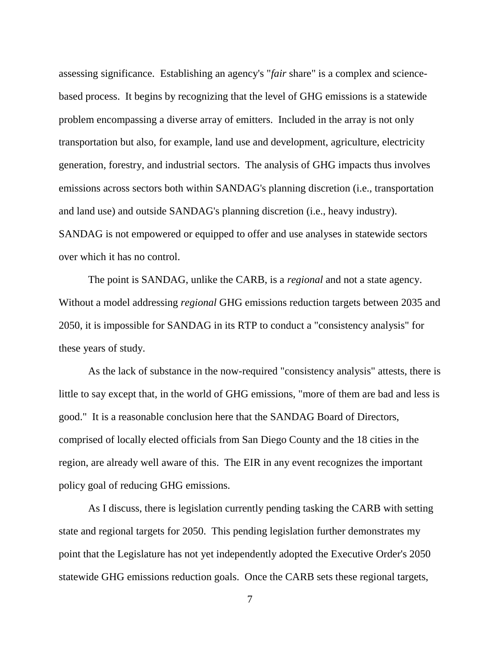assessing significance. Establishing an agency's "*fair* share" is a complex and sciencebased process. It begins by recognizing that the level of GHG emissions is a statewide problem encompassing a diverse array of emitters. Included in the array is not only transportation but also, for example, land use and development, agriculture, electricity generation, forestry, and industrial sectors. The analysis of GHG impacts thus involves emissions across sectors both within SANDAG's planning discretion (i.e., transportation and land use) and outside SANDAG's planning discretion (i.e., heavy industry). SANDAG is not empowered or equipped to offer and use analyses in statewide sectors over which it has no control.

The point is SANDAG, unlike the CARB, is a *regional* and not a state agency. Without a model addressing *regional* GHG emissions reduction targets between 2035 and 2050, it is impossible for SANDAG in its RTP to conduct a "consistency analysis" for these years of study.

As the lack of substance in the now-required "consistency analysis" attests, there is little to say except that, in the world of GHG emissions, "more of them are bad and less is good." It is a reasonable conclusion here that the SANDAG Board of Directors, comprised of locally elected officials from San Diego County and the 18 cities in the region, are already well aware of this. The EIR in any event recognizes the important policy goal of reducing GHG emissions.

As I discuss, there is legislation currently pending tasking the CARB with setting state and regional targets for 2050. This pending legislation further demonstrates my point that the Legislature has not yet independently adopted the Executive Order's 2050 statewide GHG emissions reduction goals. Once the CARB sets these regional targets,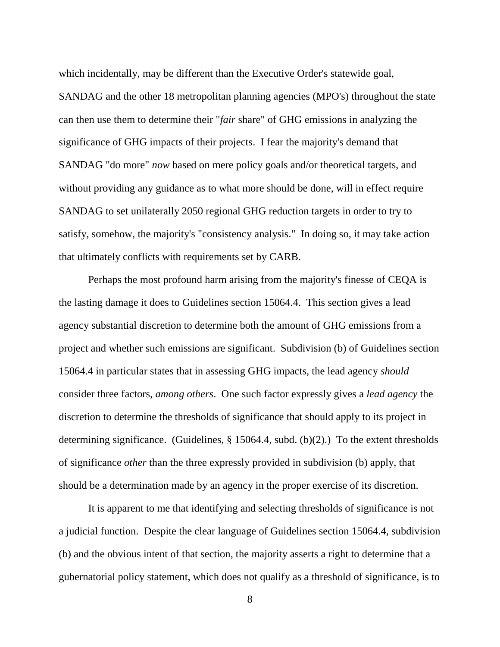which incidentally, may be different than the Executive Order's statewide goal, SANDAG and the other 18 metropolitan planning agencies (MPO's) throughout the state can then use them to determine their "*fair* share" of GHG emissions in analyzing the significance of GHG impacts of their projects. I fear the majority's demand that SANDAG "do more" *now* based on mere policy goals and/or theoretical targets, and without providing any guidance as to what more should be done, will in effect require SANDAG to set unilaterally 2050 regional GHG reduction targets in order to try to satisfy, somehow, the majority's "consistency analysis." In doing so, it may take action that ultimately conflicts with requirements set by CARB.

Perhaps the most profound harm arising from the majority's finesse of CEQA is the lasting damage it does to Guidelines section 15064.4. This section gives a lead agency substantial discretion to determine both the amount of GHG emissions from a project and whether such emissions are significant. Subdivision (b) of Guidelines section 15064.4 in particular states that in assessing GHG impacts, the lead agency *should* consider three factors, *among others*. One such factor expressly gives a *lead agency* the discretion to determine the thresholds of significance that should apply to its project in determining significance. (Guidelines, § 15064.4, subd. (b)(2).) To the extent thresholds of significance *other* than the three expressly provided in subdivision (b) apply, that should be a determination made by an agency in the proper exercise of its discretion.

It is apparent to me that identifying and selecting thresholds of significance is not a judicial function. Despite the clear language of Guidelines section 15064.4, subdivision (b) and the obvious intent of that section, the majority asserts a right to determine that a gubernatorial policy statement, which does not qualify as a threshold of significance, is to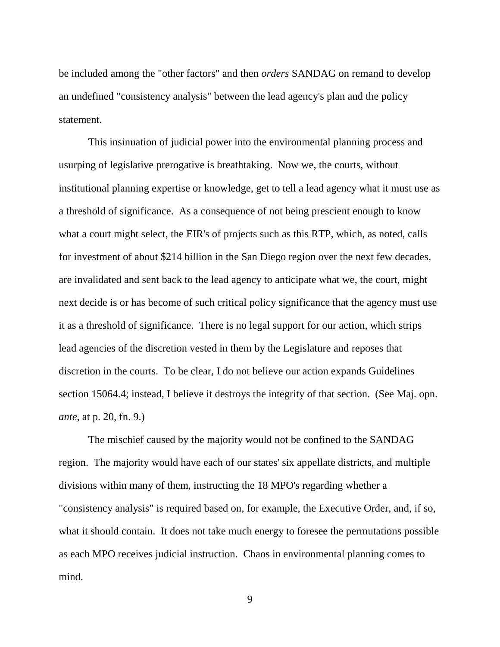be included among the "other factors" and then *orders* SANDAG on remand to develop an undefined "consistency analysis" between the lead agency's plan and the policy statement.

This insinuation of judicial power into the environmental planning process and usurping of legislative prerogative is breathtaking. Now we, the courts, without institutional planning expertise or knowledge, get to tell a lead agency what it must use as a threshold of significance. As a consequence of not being prescient enough to know what a court might select, the EIR's of projects such as this RTP, which, as noted, calls for investment of about \$214 billion in the San Diego region over the next few decades, are invalidated and sent back to the lead agency to anticipate what we, the court, might next decide is or has become of such critical policy significance that the agency must use it as a threshold of significance. There is no legal support for our action, which strips lead agencies of the discretion vested in them by the Legislature and reposes that discretion in the courts. To be clear, I do not believe our action expands Guidelines section 15064.4; instead, I believe it destroys the integrity of that section. (See Maj. opn. *ante*, at p. 20, fn. 9.)

The mischief caused by the majority would not be confined to the SANDAG region. The majority would have each of our states' six appellate districts, and multiple divisions within many of them, instructing the 18 MPO's regarding whether a "consistency analysis" is required based on, for example, the Executive Order, and, if so, what it should contain. It does not take much energy to foresee the permutations possible as each MPO receives judicial instruction. Chaos in environmental planning comes to mind.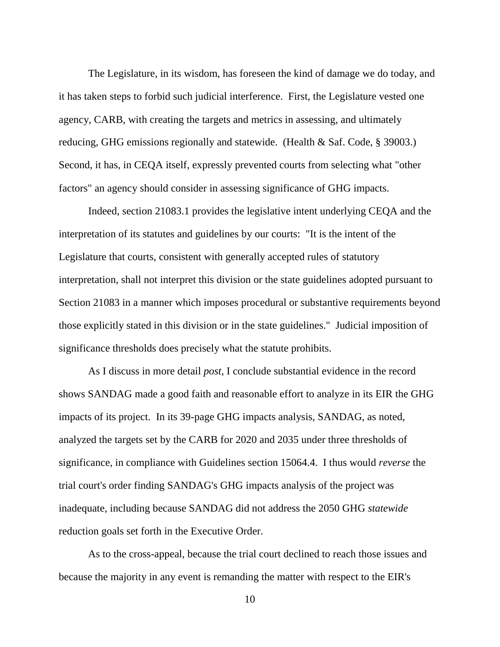The Legislature, in its wisdom, has foreseen the kind of damage we do today, and it has taken steps to forbid such judicial interference. First, the Legislature vested one agency, CARB, with creating the targets and metrics in assessing, and ultimately reducing, GHG emissions regionally and statewide. (Health & Saf. Code, § 39003.) Second, it has, in CEQA itself, expressly prevented courts from selecting what "other factors" an agency should consider in assessing significance of GHG impacts.

Indeed, section 21083.1 provides the legislative intent underlying CEQA and the interpretation of its statutes and guidelines by our courts: "It is the intent of the Legislature that courts, consistent with generally accepted rules of statutory interpretation, shall not interpret this division or the state guidelines adopted pursuant to Section 21083 in a manner which imposes procedural or substantive requirements beyond those explicitly stated in this division or in the state guidelines." Judicial imposition of significance thresholds does precisely what the statute prohibits.

As I discuss in more detail *post*, I conclude substantial evidence in the record shows SANDAG made a good faith and reasonable effort to analyze in its EIR the GHG impacts of its project. In its 39-page GHG impacts analysis, SANDAG, as noted, analyzed the targets set by the CARB for 2020 and 2035 under three thresholds of significance, in compliance with Guidelines section 15064.4. I thus would *reverse* the trial court's order finding SANDAG's GHG impacts analysis of the project was inadequate, including because SANDAG did not address the 2050 GHG *statewide*  reduction goals set forth in the Executive Order.

As to the cross-appeal, because the trial court declined to reach those issues and because the majority in any event is remanding the matter with respect to the EIR's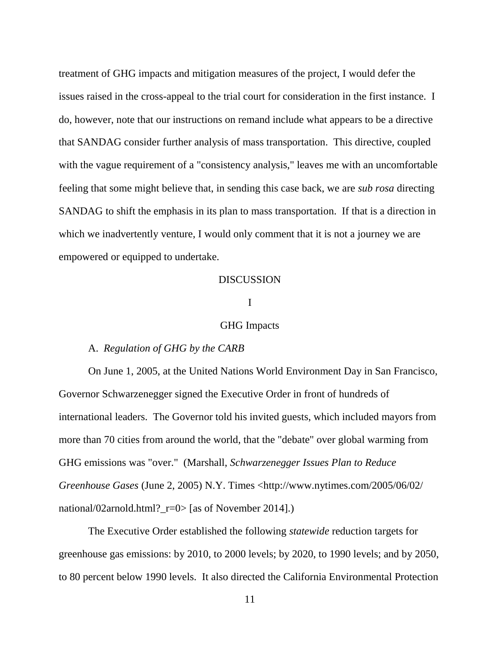treatment of GHG impacts and mitigation measures of the project, I would defer the issues raised in the cross-appeal to the trial court for consideration in the first instance. I do, however, note that our instructions on remand include what appears to be a directive that SANDAG consider further analysis of mass transportation. This directive, coupled with the vague requirement of a "consistency analysis," leaves me with an uncomfortable feeling that some might believe that, in sending this case back, we are *sub rosa* directing SANDAG to shift the emphasis in its plan to mass transportation. If that is a direction in which we inadvertently venture, I would only comment that it is not a journey we are empowered or equipped to undertake.

#### DISCUSSION

## I

#### GHG Impacts

#### A. *Regulation of GHG by the CARB*

On June 1, 2005, at the United Nations World Environment Day in San Francisco, Governor Schwarzenegger signed the Executive Order in front of hundreds of international leaders. The Governor told his invited guests, which included mayors from more than 70 cities from around the world, that the "debate" over global warming from GHG emissions was "over." (Marshall, *Schwarzenegger Issues Plan to Reduce Greenhouse Gases* (June 2, 2005) N.Y. Times <http://www.nytimes.com/2005/06/02/ national/02arnold.html?\_r=0> [as of November 2014].)

The Executive Order established the following *statewide* reduction targets for greenhouse gas emissions: by 2010, to 2000 levels; by 2020, to 1990 levels; and by 2050, to 80 percent below 1990 levels. It also directed the California Environmental Protection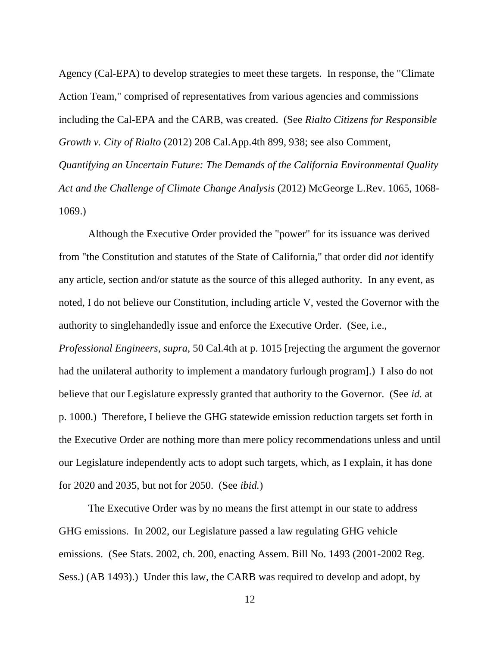Agency (Cal-EPA) to develop strategies to meet these targets. In response, the "Climate Action Team," comprised of representatives from various agencies and commissions including the Cal-EPA and the CARB, was created. (See *Rialto Citizens for Responsible Growth v. City of Rialto* (2012) 208 Cal.App.4th 899, 938; see also Comment, *Quantifying an Uncertain Future: The Demands of the California Environmental Quality Act and the Challenge of Climate Change Analysis* (2012) McGeorge L.Rev. 1065, 1068- 1069.)

Although the Executive Order provided the "power" for its issuance was derived from "the Constitution and statutes of the State of California," that order did *not* identify any article, section and/or statute as the source of this alleged authority. In any event, as noted, I do not believe our Constitution, including article V, vested the Governor with the authority to singlehandedly issue and enforce the Executive Order. (See, i.e., *Professional Engineers*, *supra*, 50 Cal.4th at p. 1015 [rejecting the argument the governor had the unilateral authority to implement a mandatory furlough program].) I also do not believe that our Legislature expressly granted that authority to the Governor. (See *id.* at p. 1000.) Therefore, I believe the GHG statewide emission reduction targets set forth in the Executive Order are nothing more than mere policy recommendations unless and until our Legislature independently acts to adopt such targets, which, as I explain, it has done

for 2020 and 2035, but not for 2050. (See *ibid.*)

The Executive Order was by no means the first attempt in our state to address GHG emissions. In 2002, our Legislature passed a law regulating GHG vehicle emissions. (See Stats. 2002, ch. 200, enacting Assem. Bill No. 1493 (2001-2002 Reg. Sess.) (AB 1493).) Under this law, the CARB was required to develop and adopt, by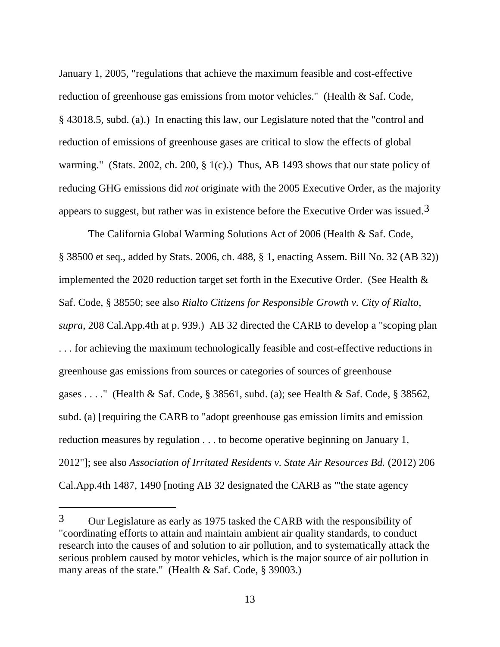January 1, 2005, "regulations that achieve the maximum feasible and cost-effective reduction of greenhouse gas emissions from motor vehicles." (Health & Saf. Code, § 43018.5, subd. (a).) In enacting this law, our Legislature noted that the "control and reduction of emissions of greenhouse gases are critical to slow the effects of global warming." (Stats. 2002, ch. 200, § 1(c).) Thus, AB 1493 shows that our state policy of reducing GHG emissions did *not* originate with the 2005 Executive Order, as the majority appears to suggest, but rather was in existence before the Executive Order was issued.<sup>3</sup>

The California Global Warming Solutions Act of 2006 (Health & Saf. Code, § 38500 et seq., added by Stats. 2006, ch. 488, § 1, enacting Assem. Bill No. 32 (AB 32)) implemented the 2020 reduction target set forth in the Executive Order. (See Health & Saf. Code, § 38550; see also *Rialto Citizens for Responsible Growth v. City of Rialto*, *supra*, 208 Cal.App.4th at p. 939.) AB 32 directed the CARB to develop a "scoping plan . . . for achieving the maximum technologically feasible and cost-effective reductions in greenhouse gas emissions from sources or categories of sources of greenhouse gases . . . ." (Health & Saf. Code, § 38561, subd. (a); see Health & Saf. Code, § 38562, subd. (a) [requiring the CARB to "adopt greenhouse gas emission limits and emission reduction measures by regulation . . . to become operative beginning on January 1, 2012"]; see also *Association of Irritated Residents v. State Air Resources Bd.* (2012) 206 Cal.App.4th 1487, 1490 [noting AB 32 designated the CARB as "'the state agency

<sup>3</sup> Our Legislature as early as 1975 tasked the CARB with the responsibility of "coordinating efforts to attain and maintain ambient air quality standards, to conduct research into the causes of and solution to air pollution, and to systematically attack the serious problem caused by motor vehicles, which is the major source of air pollution in many areas of the state." (Health & Saf. Code, § 39003.)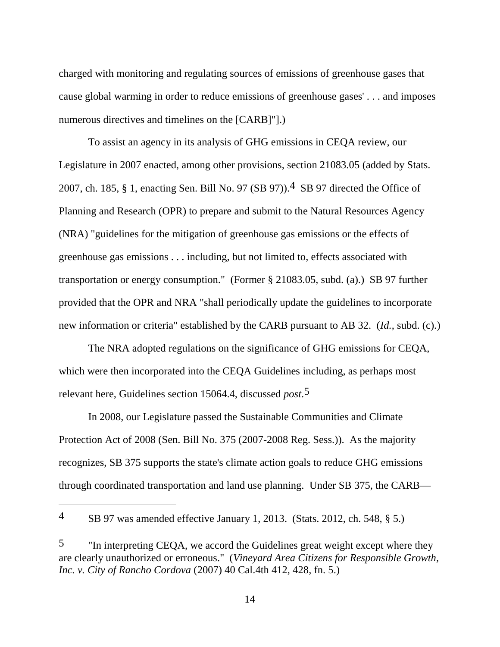charged with monitoring and regulating sources of emissions of greenhouse gases that cause global warming in order to reduce emissions of greenhouse gases' . . . and imposes numerous directives and timelines on the [CARB]"].)

To assist an agency in its analysis of GHG emissions in CEQA review, our Legislature in 2007 enacted, among other provisions, section 21083.05 (added by Stats. 2007, ch. 185, § 1, enacting Sen. Bill No. 97 (SB 97)).4 SB 97 directed the Office of Planning and Research (OPR) to prepare and submit to the Natural Resources Agency (NRA) "guidelines for the mitigation of greenhouse gas emissions or the effects of greenhouse gas emissions . . . including, but not limited to, effects associated with transportation or energy consumption." (Former § 21083.05, subd. (a).) SB 97 further provided that the OPR and NRA "shall periodically update the guidelines to incorporate new information or criteria" established by the CARB pursuant to AB 32. (*Id.*, subd. (c).)

The NRA adopted regulations on the significance of GHG emissions for CEQA, which were then incorporated into the CEQA Guidelines including, as perhaps most relevant here, Guidelines section 15064.4, discussed *post*.5

In 2008, our Legislature passed the Sustainable Communities and Climate Protection Act of 2008 (Sen. Bill No. 375 (2007-2008 Reg. Sess.)). As the majority recognizes, SB 375 supports the state's climate action goals to reduce GHG emissions through coordinated transportation and land use planning. Under SB 375, the CARB—

<sup>4</sup> SB 97 was amended effective January 1, 2013. (Stats. 2012, ch. 548, § 5.)

<sup>&</sup>lt;sup>5</sup> "In interpreting CEQA, we accord the Guidelines great weight except where they are clearly unauthorized or erroneous." (*Vineyard Area Citizens for Responsible Growth, Inc. v. City of Rancho Cordova* (2007) 40 Cal.4th 412, 428, fn. 5.)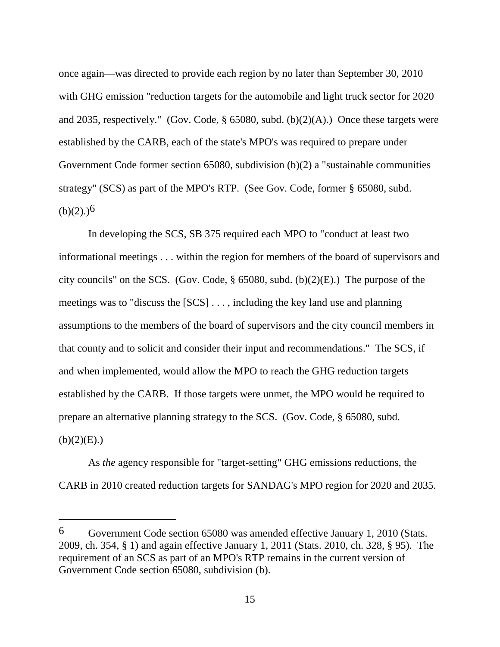once again—was directed to provide each region by no later than September 30, 2010 with GHG emission "reduction targets for the automobile and light truck sector for 2020 and 2035, respectively." (Gov. Code,  $\S$  65080, subd. (b)(2)(A).) Once these targets were established by the CARB, each of the state's MPO's was required to prepare under Government Code former section 65080, subdivision (b)(2) a "sustainable communities strategy" (SCS) as part of the MPO's RTP. (See Gov. Code, former § 65080, subd.  $(b)(2)$ .)<sup>6</sup>

In developing the SCS, SB 375 required each MPO to "conduct at least two informational meetings . . . within the region for members of the board of supervisors and city councils" on the SCS. (Gov. Code, § 65080, subd. (b)(2)(E).) The purpose of the meetings was to "discuss the [SCS] . . . , including the key land use and planning assumptions to the members of the board of supervisors and the city council members in that county and to solicit and consider their input and recommendations." The SCS, if and when implemented, would allow the MPO to reach the GHG reduction targets established by the CARB. If those targets were unmet, the MPO would be required to prepare an alternative planning strategy to the SCS. (Gov. Code, § 65080, subd.  $(b)(2)(E)$ .)

As *the* agency responsible for "target-setting" GHG emissions reductions, the CARB in 2010 created reduction targets for SANDAG's MPO region for 2020 and 2035.

<sup>6</sup> Government Code section 65080 was amended effective January 1, 2010 (Stats. 2009, ch. 354, § 1) and again effective January 1, 2011 (Stats. 2010, ch. 328, § 95). The requirement of an SCS as part of an MPO's RTP remains in the current version of Government Code section 65080, subdivision (b).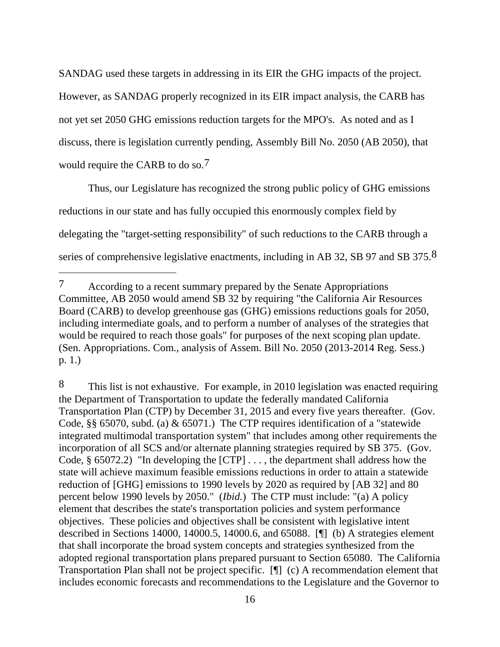SANDAG used these targets in addressing in its EIR the GHG impacts of the project. However, as SANDAG properly recognized in its EIR impact analysis, the CARB has not yet set 2050 GHG emissions reduction targets for the MPO's. As noted and as I discuss, there is legislation currently pending, Assembly Bill No. 2050 (AB 2050), that would require the CARB to do so.7

Thus, our Legislature has recognized the strong public policy of GHG emissions reductions in our state and has fully occupied this enormously complex field by delegating the "target-setting responsibility" of such reductions to the CARB through a series of comprehensive legislative enactments, including in AB 32, SB 97 and SB 375.8

 $\overline{a}$ 

8 This list is not exhaustive. For example, in 2010 legislation was enacted requiring the Department of Transportation to update the federally mandated California Transportation Plan (CTP) by December 31, 2015 and every five years thereafter. (Gov. Code, §§ 65070, subd. (a) & 65071.) The CTP requires identification of a "statewide integrated multimodal transportation system" that includes among other requirements the incorporation of all SCS and/or alternate planning strategies required by SB 375. (Gov. Code, § 65072.2) "In developing the [CTP] . . . , the department shall address how the state will achieve maximum feasible emissions reductions in order to attain a statewide reduction of [GHG] emissions to 1990 levels by 2020 as required by [AB 32] and 80 percent below 1990 levels by 2050." (*Ibid.*) The CTP must include: "(a) A policy element that describes the state's transportation policies and system performance objectives. These policies and objectives shall be consistent with legislative intent described in Sections 14000, 14000.5, 14000.6, and 65088. [¶] (b) A strategies element that shall incorporate the broad system concepts and strategies synthesized from the adopted regional transportation plans prepared pursuant to Section 65080. The California Transportation Plan shall not be project specific. [¶] (c) A recommendation element that includes economic forecasts and recommendations to the Legislature and the Governor to

<sup>7</sup> According to a recent summary prepared by the Senate Appropriations Committee, AB 2050 would amend SB 32 by requiring "the California Air Resources Board (CARB) to develop greenhouse gas (GHG) emissions reductions goals for 2050, including intermediate goals, and to perform a number of analyses of the strategies that would be required to reach those goals" for purposes of the next scoping plan update. (Sen. Appropriations. Com., analysis of Assem. Bill No. 2050 (2013-2014 Reg. Sess.) p. 1.)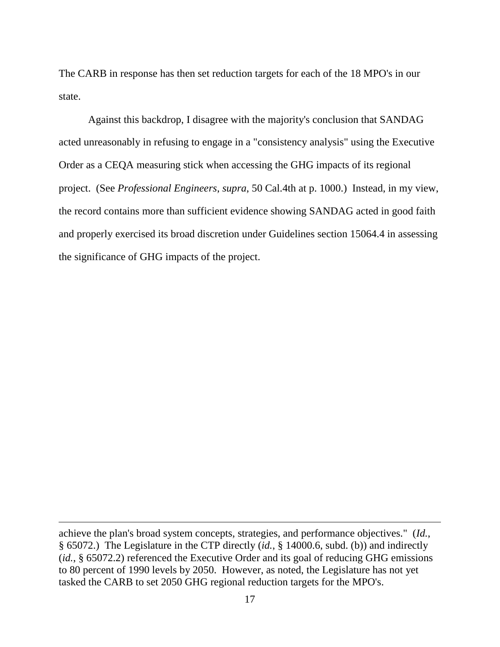The CARB in response has then set reduction targets for each of the 18 MPO's in our state.

Against this backdrop, I disagree with the majority's conclusion that SANDAG acted unreasonably in refusing to engage in a "consistency analysis" using the Executive Order as a CEQA measuring stick when accessing the GHG impacts of its regional project. (See *Professional Engineers*, *supra*, 50 Cal.4th at p. 1000.) Instead, in my view, the record contains more than sufficient evidence showing SANDAG acted in good faith and properly exercised its broad discretion under Guidelines section 15064.4 in assessing the significance of GHG impacts of the project.

achieve the plan's broad system concepts, strategies, and performance objectives." (*Id.*, § 65072.) The Legislature in the CTP directly (*id.*, § 14000.6, subd. (b)) and indirectly (*id.*, § 65072.2) referenced the Executive Order and its goal of reducing GHG emissions to 80 percent of 1990 levels by 2050. However, as noted, the Legislature has not yet tasked the CARB to set 2050 GHG regional reduction targets for the MPO's.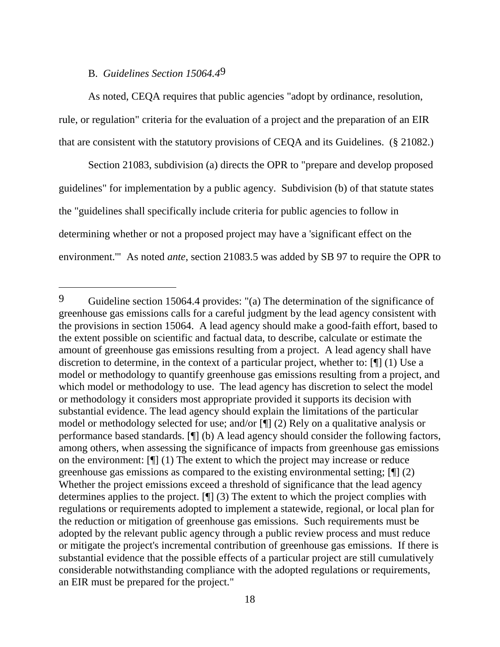## B. *Guidelines Section 15064.4*9

 $\overline{a}$ 

As noted, CEQA requires that public agencies "adopt by ordinance, resolution, rule, or regulation" criteria for the evaluation of a project and the preparation of an EIR that are consistent with the statutory provisions of CEQA and its Guidelines. (§ 21082.)

Section 21083, subdivision (a) directs the OPR to "prepare and develop proposed guidelines" for implementation by a public agency. Subdivision (b) of that statute states the "guidelines shall specifically include criteria for public agencies to follow in determining whether or not a proposed project may have a 'significant effect on the environment.'" As noted *ante*, section 21083.5 was added by SB 97 to require the OPR to

<sup>9</sup> Guideline section 15064.4 provides: "(a) The determination of the significance of greenhouse gas emissions calls for a careful judgment by the lead agency consistent with the provisions in section 15064. A lead agency should make a good-faith effort, based to the extent possible on scientific and factual data, to describe, calculate or estimate the amount of greenhouse gas emissions resulting from a project. A lead agency shall have discretion to determine, in the context of a particular project, whether to: [¶] (1) Use a model or methodology to quantify greenhouse gas emissions resulting from a project, and which model or methodology to use. The lead agency has discretion to select the model or methodology it considers most appropriate provided it supports its decision with substantial evidence. The lead agency should explain the limitations of the particular model or methodology selected for use; and/or [¶] (2) Rely on a qualitative analysis or performance based standards. [¶] (b) A lead agency should consider the following factors, among others, when assessing the significance of impacts from greenhouse gas emissions on the environment: [¶] (1) The extent to which the project may increase or reduce greenhouse gas emissions as compared to the existing environmental setting; [¶] (2) Whether the project emissions exceed a threshold of significance that the lead agency determines applies to the project. [¶] (3) The extent to which the project complies with regulations or requirements adopted to implement a statewide, regional, or local plan for the reduction or mitigation of greenhouse gas emissions. Such requirements must be adopted by the relevant public agency through a public review process and must reduce or mitigate the project's incremental contribution of greenhouse gas emissions. If there is substantial evidence that the possible effects of a particular project are still cumulatively considerable notwithstanding compliance with the adopted regulations or requirements, an EIR must be prepared for the project."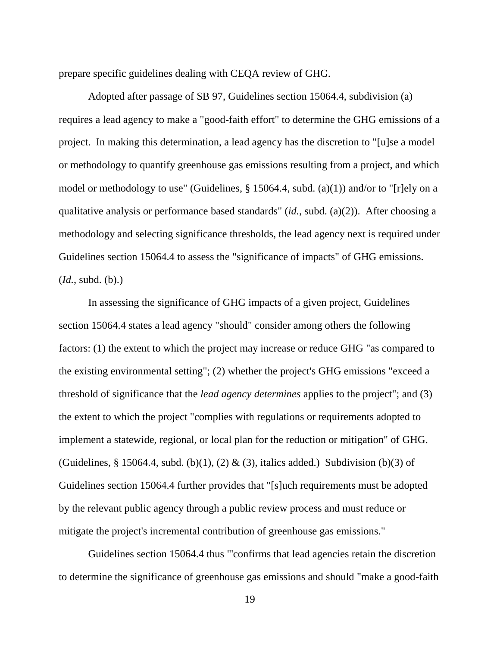prepare specific guidelines dealing with CEQA review of GHG.

Adopted after passage of SB 97, Guidelines section 15064.4, subdivision (a) requires a lead agency to make a "good-faith effort" to determine the GHG emissions of a project. In making this determination, a lead agency has the discretion to "[u]se a model or methodology to quantify greenhouse gas emissions resulting from a project, and which model or methodology to use" (Guidelines, § 15064.4, subd. (a)(1)) and/or to "[r]ely on a qualitative analysis or performance based standards" (*id.*, subd. (a)(2)). After choosing a methodology and selecting significance thresholds, the lead agency next is required under Guidelines section 15064.4 to assess the "significance of impacts" of GHG emissions. (*Id.*, subd. (b).)

In assessing the significance of GHG impacts of a given project, Guidelines section 15064.4 states a lead agency "should" consider among others the following factors: (1) the extent to which the project may increase or reduce GHG "as compared to the existing environmental setting"; (2) whether the project's GHG emissions "exceed a threshold of significance that the *lead agency determines* applies to the project"; and (3) the extent to which the project "complies with regulations or requirements adopted to implement a statewide, regional, or local plan for the reduction or mitigation" of GHG. (Guidelines, § 15064.4, subd. (b)(1), (2) & (3), italics added.) Subdivision (b)(3) of Guidelines section 15064.4 further provides that "[s]uch requirements must be adopted by the relevant public agency through a public review process and must reduce or mitigate the project's incremental contribution of greenhouse gas emissions."

Guidelines section 15064.4 thus "'confirms that lead agencies retain the discretion to determine the significance of greenhouse gas emissions and should "make a good-faith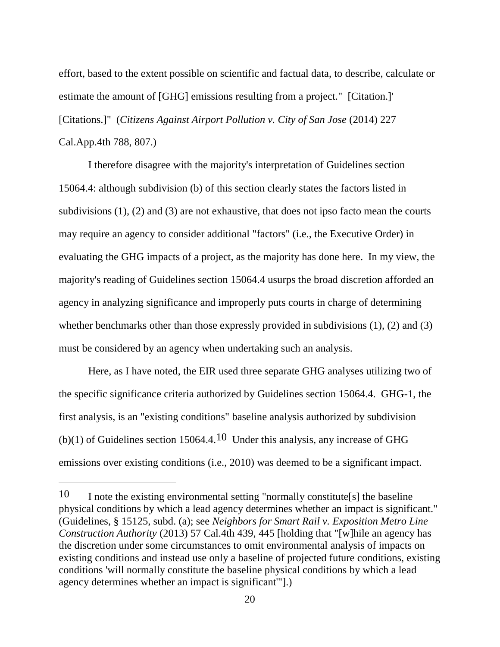effort, based to the extent possible on scientific and factual data, to describe, calculate or estimate the amount of [GHG] emissions resulting from a project." [Citation.]' [Citations.]" (*Citizens Against Airport Pollution v. City of San Jose* (2014) 227 Cal.App.4th 788, 807.)

I therefore disagree with the majority's interpretation of Guidelines section 15064.4: although subdivision (b) of this section clearly states the factors listed in subdivisions (1), (2) and (3) are not exhaustive, that does not ipso facto mean the courts may require an agency to consider additional "factors" (i.e., the Executive Order) in evaluating the GHG impacts of a project, as the majority has done here. In my view, the majority's reading of Guidelines section 15064.4 usurps the broad discretion afforded an agency in analyzing significance and improperly puts courts in charge of determining whether benchmarks other than those expressly provided in subdivisions (1), (2) and (3) must be considered by an agency when undertaking such an analysis.

Here, as I have noted, the EIR used three separate GHG analyses utilizing two of the specific significance criteria authorized by Guidelines section 15064.4. GHG-1, the first analysis, is an "existing conditions" baseline analysis authorized by subdivision (b)(1) of Guidelines section 15064.4.10 Under this analysis, any increase of GHG emissions over existing conditions (i.e., 2010) was deemed to be a significant impact.

 $\overline{a}$ 

<sup>10</sup> I note the existing environmental setting "normally constitute[s] the baseline physical conditions by which a lead agency determines whether an impact is significant." (Guidelines, § 15125, subd. (a); see *Neighbors for Smart Rail v. Exposition Metro Line Construction Authority* (2013) 57 Cal.4th 439, 445 [holding that "[w]hile an agency has the discretion under some circumstances to omit environmental analysis of impacts on existing conditions and instead use only a baseline of projected future conditions, existing conditions 'will normally constitute the baseline physical conditions by which a lead agency determines whether an impact is significant'"].)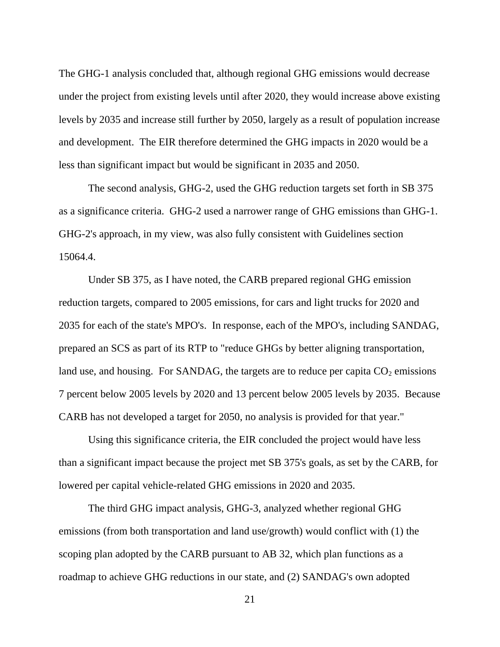The GHG-1 analysis concluded that, although regional GHG emissions would decrease under the project from existing levels until after 2020, they would increase above existing levels by 2035 and increase still further by 2050, largely as a result of population increase and development. The EIR therefore determined the GHG impacts in 2020 would be a less than significant impact but would be significant in 2035 and 2050.

The second analysis, GHG-2, used the GHG reduction targets set forth in SB 375 as a significance criteria. GHG-2 used a narrower range of GHG emissions than GHG-1. GHG-2's approach, in my view, was also fully consistent with Guidelines section 15064.4.

Under SB 375, as I have noted, the CARB prepared regional GHG emission reduction targets, compared to 2005 emissions, for cars and light trucks for 2020 and 2035 for each of the state's MPO's.In response, each of the MPO's, including SANDAG, prepared an SCS as part of its RTP to "reduce GHGs by better aligning transportation, land use, and housing. For SANDAG, the targets are to reduce per capita  $CO<sub>2</sub>$  emissions 7 percent below 2005 levels by 2020 and 13 percent below 2005 levels by 2035. Because CARB has not developed a target for 2050, no analysis is provided for that year."

Using this significance criteria, the EIR concluded the project would have less than a significant impact because the project met SB 375's goals, as set by the CARB, for lowered per capital vehicle-related GHG emissions in 2020 and 2035.

The third GHG impact analysis, GHG-3, analyzed whether regional GHG emissions (from both transportation and land use/growth) would conflict with (1) the scoping plan adopted by the CARB pursuant to AB 32, which plan functions as a roadmap to achieve GHG reductions in our state, and (2) SANDAG's own adopted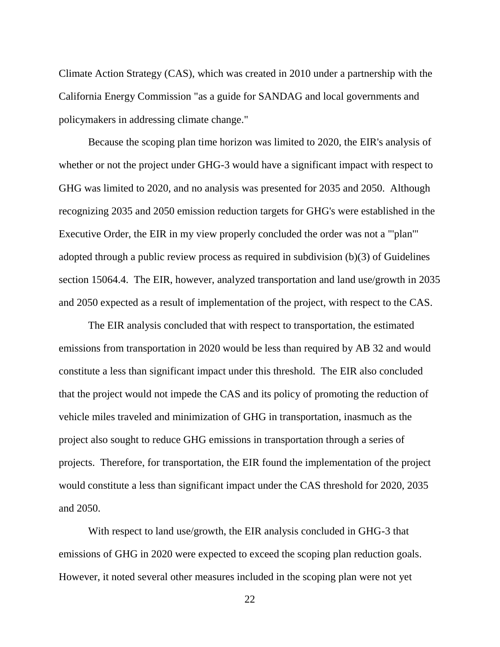Climate Action Strategy (CAS), which was created in 2010 under a partnership with the California Energy Commission "as a guide for SANDAG and local governments and policymakers in addressing climate change."

Because the scoping plan time horizon was limited to 2020, the EIR's analysis of whether or not the project under GHG-3 would have a significant impact with respect to GHG was limited to 2020, and no analysis was presented for 2035 and 2050. Although recognizing 2035 and 2050 emission reduction targets for GHG's were established in the Executive Order, the EIR in my view properly concluded the order was not a "'plan'" adopted through a public review process as required in subdivision (b)(3) of Guidelines section 15064.4. The EIR, however, analyzed transportation and land use/growth in 2035 and 2050 expected as a result of implementation of the project, with respect to the CAS.

The EIR analysis concluded that with respect to transportation, the estimated emissions from transportation in 2020 would be less than required by AB 32 and would constitute a less than significant impact under this threshold. The EIR also concluded that the project would not impede the CAS and its policy of promoting the reduction of vehicle miles traveled and minimization of GHG in transportation, inasmuch as the project also sought to reduce GHG emissions in transportation through a series of projects. Therefore, for transportation, the EIR found the implementation of the project would constitute a less than significant impact under the CAS threshold for 2020, 2035 and 2050.

With respect to land use/growth, the EIR analysis concluded in GHG-3 that emissions of GHG in 2020 were expected to exceed the scoping plan reduction goals. However, it noted several other measures included in the scoping plan were not yet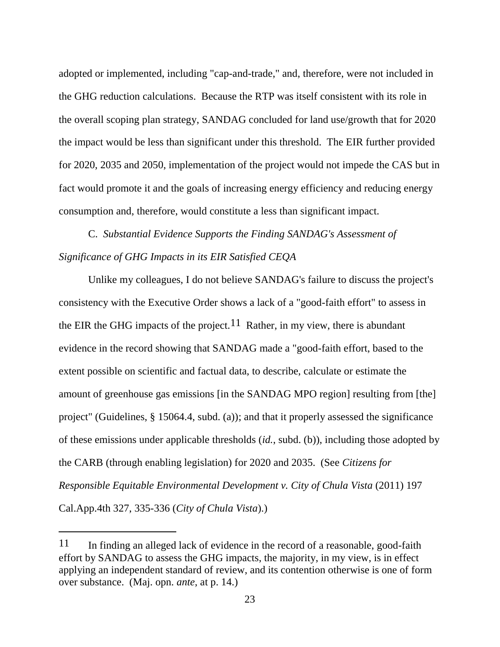adopted or implemented, including "cap-and-trade," and, therefore, were not included in the GHG reduction calculations. Because the RTP was itself consistent with its role in the overall scoping plan strategy, SANDAG concluded for land use/growth that for 2020 the impact would be less than significant under this threshold. The EIR further provided for 2020, 2035 and 2050, implementation of the project would not impede the CAS but in fact would promote it and the goals of increasing energy efficiency and reducing energy consumption and, therefore, would constitute a less than significant impact.

C. *Substantial Evidence Supports the Finding SANDAG's Assessment of Significance of GHG Impacts in its EIR Satisfied CEQA*

Unlike my colleagues, I do not believe SANDAG's failure to discuss the project's consistency with the Executive Order shows a lack of a "good-faith effort" to assess in the EIR the GHG impacts of the project.<sup>11</sup> Rather, in my view, there is abundant evidence in the record showing that SANDAG made a "good-faith effort, based to the extent possible on scientific and factual data, to describe, calculate or estimate the amount of greenhouse gas emissions [in the SANDAG MPO region] resulting from [the] project" (Guidelines, § 15064.4, subd. (a)); and that it properly assessed the significance of these emissions under applicable thresholds (*id.*, subd. (b)), including those adopted by the CARB (through enabling legislation) for 2020 and 2035. (See *Citizens for Responsible Equitable Environmental Development v. City of Chula Vista* (2011) 197 Cal.App.4th 327, 335-336 (*City of Chula Vista*).)

<sup>11</sup> In finding an alleged lack of evidence in the record of a reasonable, good-faith effort by SANDAG to assess the GHG impacts, the majority, in my view, is in effect applying an independent standard of review, and its contention otherwise is one of form over substance. (Maj. opn. *ante*, at p. 14.)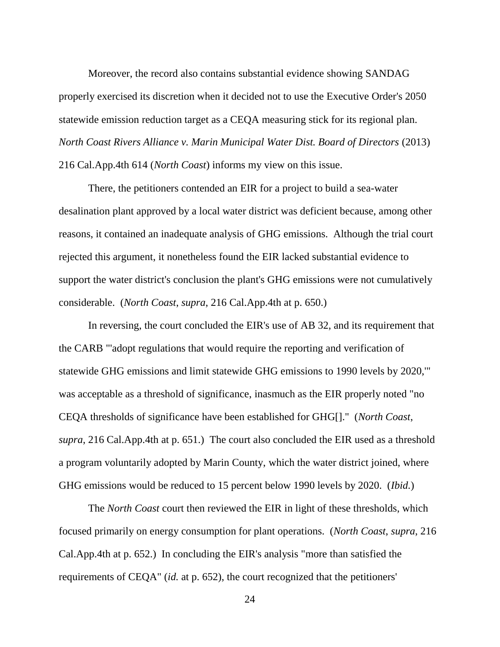Moreover, the record also contains substantial evidence showing SANDAG properly exercised its discretion when it decided not to use the Executive Order's 2050 statewide emission reduction target as a CEQA measuring stick for its regional plan. *North Coast Rivers Alliance v. Marin Municipal Water Dist. Board of Directors* (2013) 216 Cal.App.4th 614 (*North Coast*) informs my view on this issue.

There, the petitioners contended an EIR for a project to build a sea-water desalination plant approved by a local water district was deficient because, among other reasons, it contained an inadequate analysis of GHG emissions. Although the trial court rejected this argument, it nonetheless found the EIR lacked substantial evidence to support the water district's conclusion the plant's GHG emissions were not cumulatively considerable. (*North Coast*, *supra*, 216 Cal.App.4th at p. 650.)

In reversing, the court concluded the EIR's use of AB 32, and its requirement that the CARB "'adopt regulations that would require the reporting and verification of statewide GHG emissions and limit statewide GHG emissions to 1990 levels by 2020,'" was acceptable as a threshold of significance, inasmuch as the EIR properly noted "no CEQA thresholds of significance have been established for GHG[]." (*North Coast*, *supra*, 216 Cal.App.4th at p. 651.) The court also concluded the EIR used as a threshold a program voluntarily adopted by Marin County, which the water district joined, where GHG emissions would be reduced to 15 percent below 1990 levels by 2020. (*Ibid.*)

The *North Coast* court then reviewed the EIR in light of these thresholds, which focused primarily on energy consumption for plant operations. (*North Coast*, *supra*, 216 Cal.App.4th at p. 652.) In concluding the EIR's analysis "more than satisfied the requirements of CEQA" (*id.* at p. 652), the court recognized that the petitioners'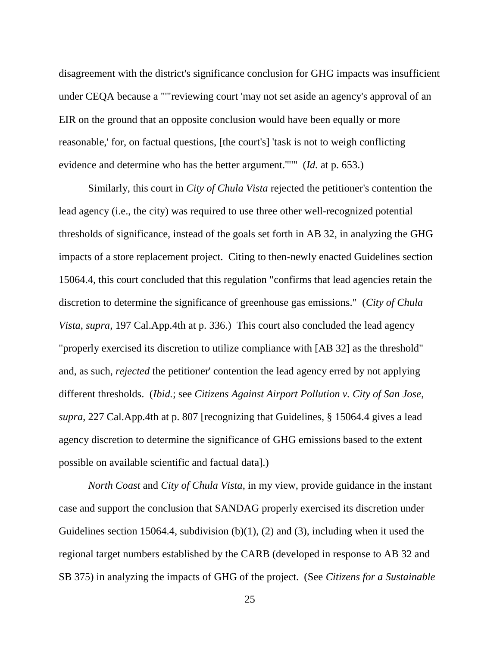disagreement with the district's significance conclusion for GHG impacts was insufficient under CEQA because a "'"reviewing court 'may not set aside an agency's approval of an EIR on the ground that an opposite conclusion would have been equally or more reasonable,' for, on factual questions, [the court's] 'task is not to weigh conflicting evidence and determine who has the better argument.'"'" (*Id.* at p. 653.)

Similarly, this court in *City of Chula Vista* rejected the petitioner's contention the lead agency (i.e., the city) was required to use three other well-recognized potential thresholds of significance, instead of the goals set forth in AB 32, in analyzing the GHG impacts of a store replacement project. Citing to then-newly enacted Guidelines section 15064.4, this court concluded that this regulation "confirms that lead agencies retain the discretion to determine the significance of greenhouse gas emissions." (*City of Chula Vista*, *supra*, 197 Cal.App.4th at p. 336.) This court also concluded the lead agency "properly exercised its discretion to utilize compliance with [AB 32] as the threshold" and, as such, *rejected* the petitioner' contention the lead agency erred by not applying different thresholds. (*Ibid.*; see *Citizens Against Airport Pollution v. City of San Jose*, *supra*, 227 Cal.App.4th at p. 807 [recognizing that Guidelines, § 15064.4 gives a lead agency discretion to determine the significance of GHG emissions based to the extent possible on available scientific and factual data].)

*North Coast* and *City of Chula Vista*, in my view, provide guidance in the instant case and support the conclusion that SANDAG properly exercised its discretion under Guidelines section 15064.4, subdivision  $(b)(1)$ ,  $(2)$  and  $(3)$ , including when it used the regional target numbers established by the CARB (developed in response to AB 32 and SB 375) in analyzing the impacts of GHG of the project. (See *Citizens for a Sustainable*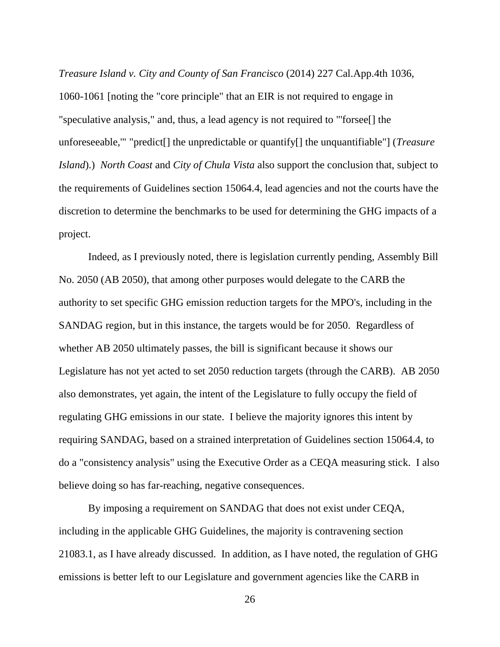*Treasure Island v. City and County of San Francisco* (2014) 227 Cal.App.4th 1036, 1060-1061 [noting the "core principle" that an EIR is not required to engage in "speculative analysis," and, thus, a lead agency is not required to "'forsee[] the unforeseeable,'" "predict[] the unpredictable or quantify[] the unquantifiable"] (*Treasure Island*).) *North Coast* and *City of Chula Vista* also support the conclusion that, subject to the requirements of Guidelines section 15064.4, lead agencies and not the courts have the discretion to determine the benchmarks to be used for determining the GHG impacts of a project.

Indeed, as I previously noted, there is legislation currently pending, Assembly Bill No. 2050 (AB 2050), that among other purposes would delegate to the CARB the authority to set specific GHG emission reduction targets for the MPO's, including in the SANDAG region, but in this instance, the targets would be for 2050. Regardless of whether AB 2050 ultimately passes, the bill is significant because it shows our Legislature has not yet acted to set 2050 reduction targets (through the CARB). AB 2050 also demonstrates, yet again, the intent of the Legislature to fully occupy the field of regulating GHG emissions in our state. I believe the majority ignores this intent by requiring SANDAG, based on a strained interpretation of Guidelines section 15064.4, to do a "consistency analysis" using the Executive Order as a CEQA measuring stick. I also believe doing so has far-reaching, negative consequences.

By imposing a requirement on SANDAG that does not exist under CEQA, including in the applicable GHG Guidelines, the majority is contravening section 21083.1, as I have already discussed. In addition, as I have noted, the regulation of GHG emissions is better left to our Legislature and government agencies like the CARB in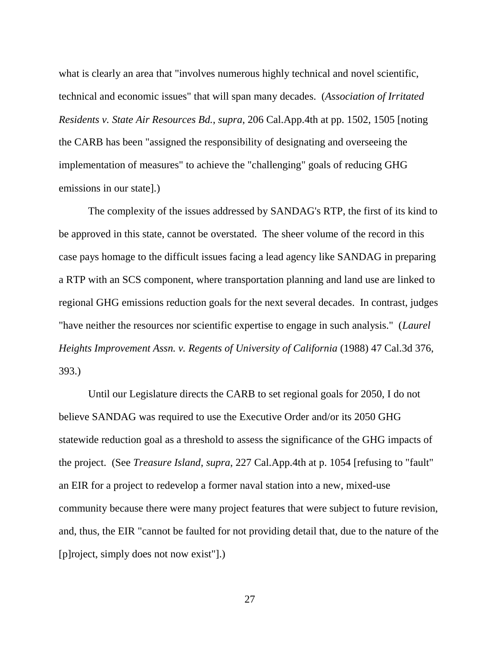what is clearly an area that "involves numerous highly technical and novel scientific, technical and economic issues" that will span many decades. (*Association of Irritated Residents v. State Air Resources Bd.*, *supra*, 206 Cal.App.4th at pp. 1502, 1505 [noting the CARB has been "assigned the responsibility of designating and overseeing the implementation of measures" to achieve the "challenging" goals of reducing GHG emissions in our state].)

The complexity of the issues addressed by SANDAG's RTP, the first of its kind to be approved in this state, cannot be overstated. The sheer volume of the record in this case pays homage to the difficult issues facing a lead agency like SANDAG in preparing a RTP with an SCS component, where transportation planning and land use are linked to regional GHG emissions reduction goals for the next several decades. In contrast, judges "have neither the resources nor scientific expertise to engage in such analysis." (*Laurel Heights Improvement Assn. v. Regents of University of California* (1988) 47 Cal.3d 376, 393.)

Until our Legislature directs the CARB to set regional goals for 2050, I do not believe SANDAG was required to use the Executive Order and/or its 2050 GHG statewide reduction goal as a threshold to assess the significance of the GHG impacts of the project. (See *Treasure Island*, *supra*, 227 Cal.App.4th at p. 1054 [refusing to "fault" an EIR for a project to redevelop a former naval station into a new, mixed-use community because there were many project features that were subject to future revision, and, thus, the EIR "cannot be faulted for not providing detail that, due to the nature of the [p]roject, simply does not now exist"].)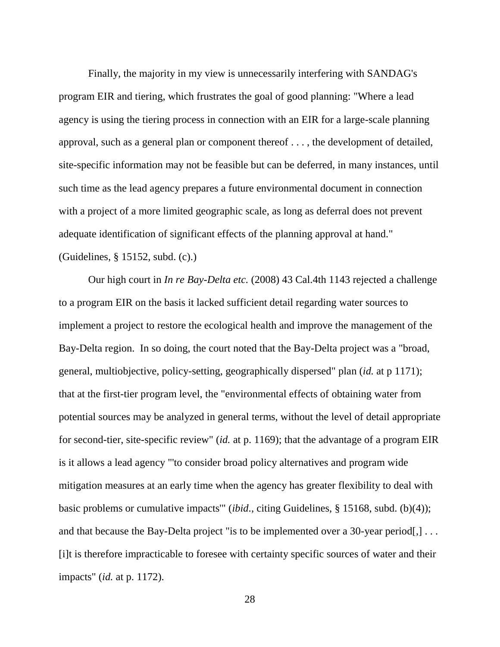Finally, the majority in my view is unnecessarily interfering with SANDAG's program EIR and tiering, which frustrates the goal of good planning: "Where a lead agency is using the tiering process in connection with an EIR for a large-scale planning approval, such as a general plan or component thereof . . . , the development of detailed, site-specific information may not be feasible but can be deferred, in many instances, until such time as the lead agency prepares a future environmental document in connection with a project of a more limited geographic scale, as long as deferral does not prevent adequate identification of significant effects of the planning approval at hand." (Guidelines, § 15152, subd. (c).)

Our high court in *In re Bay-Delta etc.* (2008) 43 Cal.4th 1143 rejected a challenge to a program EIR on the basis it lacked sufficient detail regarding water sources to implement a project to restore the ecological health and improve the management of the Bay-Delta region. In so doing, the court noted that the Bay-Delta project was a "broad, general, multiobjective, policy-setting, geographically dispersed" plan (*id.* at p 1171); that at the first-tier program level, the "environmental effects of obtaining water from potential sources may be analyzed in general terms, without the level of detail appropriate for second-tier, site-specific review" (*id.* at p. 1169); that the advantage of a program EIR is it allows a lead agency "'to consider broad policy alternatives and program wide mitigation measures at an early time when the agency has greater flexibility to deal with basic problems or cumulative impacts'" (*ibid*., citing Guidelines, § 15168, subd. (b)(4)); and that because the Bay-Delta project "is to be implemented over a 30-year period... [i]t is therefore impracticable to foresee with certainty specific sources of water and their impacts" (*id.* at p. 1172).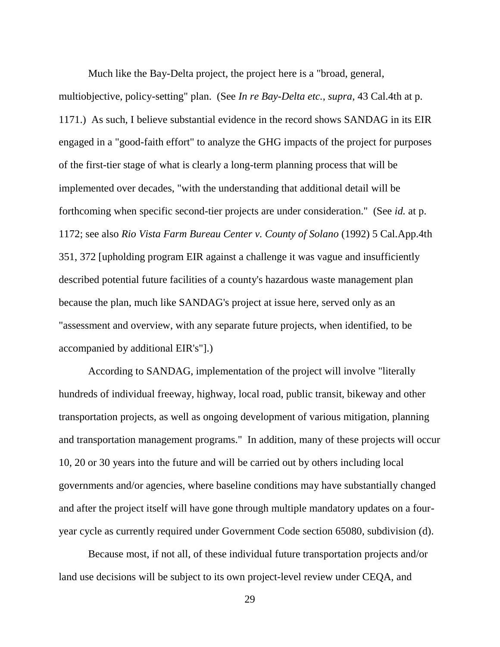Much like the Bay-Delta project, the project here is a "broad, general, multiobjective, policy-setting" plan. (See *In re Bay-Delta etc.*, *supra*, 43 Cal.4th at p. 1171.) As such, I believe substantial evidence in the record shows SANDAG in its EIR engaged in a "good-faith effort" to analyze the GHG impacts of the project for purposes of the first-tier stage of what is clearly a long-term planning process that will be implemented over decades, "with the understanding that additional detail will be forthcoming when specific second-tier projects are under consideration." (See *id.* at p. 1172; see also *Rio Vista Farm Bureau Center v. County of Solano* (1992) 5 Cal.App.4th 351, 372 [upholding program EIR against a challenge it was vague and insufficiently described potential future facilities of a county's hazardous waste management plan because the plan, much like SANDAG's project at issue here, served only as an "assessment and overview, with any separate future projects, when identified, to be accompanied by additional EIR's"].)

According to SANDAG, implementation of the project will involve "literally hundreds of individual freeway, highway, local road, public transit, bikeway and other transportation projects, as well as ongoing development of various mitigation, planning and transportation management programs." In addition, many of these projects will occur 10, 20 or 30 years into the future and will be carried out by others including local governments and/or agencies, where baseline conditions may have substantially changed and after the project itself will have gone through multiple mandatory updates on a fouryear cycle as currently required under Government Code section 65080, subdivision (d).

Because most, if not all, of these individual future transportation projects and/or land use decisions will be subject to its own project-level review under CEQA, and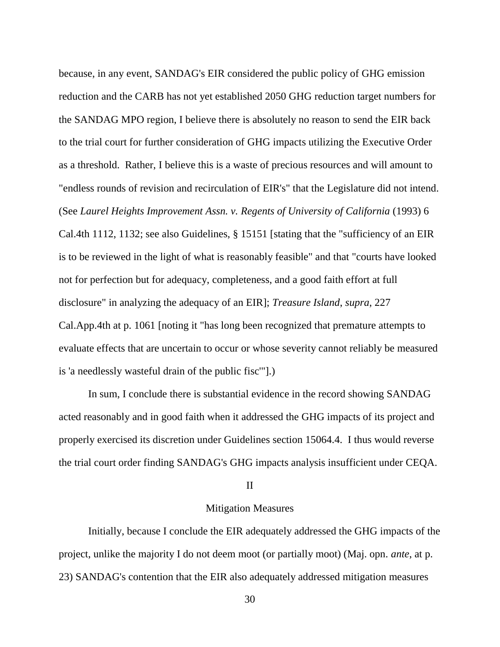because, in any event, SANDAG's EIR considered the public policy of GHG emission reduction and the CARB has not yet established 2050 GHG reduction target numbers for the SANDAG MPO region, I believe there is absolutely no reason to send the EIR back to the trial court for further consideration of GHG impacts utilizing the Executive Order as a threshold. Rather, I believe this is a waste of precious resources and will amount to "endless rounds of revision and recirculation of EIR's" that the Legislature did not intend. (See *Laurel Heights Improvement Assn. v. Regents of University of California* (1993) 6 Cal.4th 1112, 1132; see also Guidelines, § 15151 [stating that the "sufficiency of an EIR is to be reviewed in the light of what is reasonably feasible" and that "courts have looked not for perfection but for adequacy, completeness, and a good faith effort at full disclosure" in analyzing the adequacy of an EIR]; *Treasure Island*, *supra*, 227 Cal.App.4th at p. 1061 [noting it "has long been recognized that premature attempts to evaluate effects that are uncertain to occur or whose severity cannot reliably be measured is 'a needlessly wasteful drain of the public fisc'"].)

In sum, I conclude there is substantial evidence in the record showing SANDAG acted reasonably and in good faith when it addressed the GHG impacts of its project and properly exercised its discretion under Guidelines section 15064.4. I thus would reverse the trial court order finding SANDAG's GHG impacts analysis insufficient under CEQA.

## II

## Mitigation Measures

Initially, because I conclude the EIR adequately addressed the GHG impacts of the project, unlike the majority I do not deem moot (or partially moot) (Maj. opn. *ante*, at p. 23) SANDAG's contention that the EIR also adequately addressed mitigation measures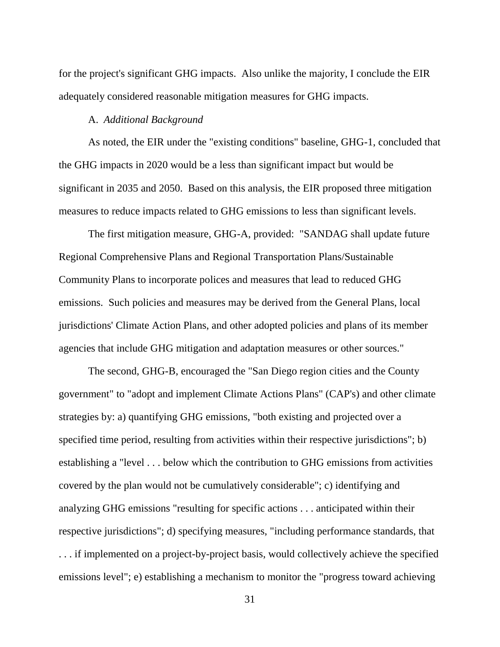for the project's significant GHG impacts. Also unlike the majority, I conclude the EIR adequately considered reasonable mitigation measures for GHG impacts.

## A. *Additional Background*

As noted, the EIR under the "existing conditions" baseline, GHG-1, concluded that the GHG impacts in 2020 would be a less than significant impact but would be significant in 2035 and 2050. Based on this analysis, the EIR proposed three mitigation measures to reduce impacts related to GHG emissions to less than significant levels.

The first mitigation measure, GHG-A, provided: "SANDAG shall update future Regional Comprehensive Plans and Regional Transportation Plans/Sustainable Community Plans to incorporate polices and measures that lead to reduced GHG emissions. Such policies and measures may be derived from the General Plans, local jurisdictions' Climate Action Plans, and other adopted policies and plans of its member agencies that include GHG mitigation and adaptation measures or other sources."

The second, GHG-B, encouraged the "San Diego region cities and the County government" to "adopt and implement Climate Actions Plans" (CAP's) and other climate strategies by: a) quantifying GHG emissions, "both existing and projected over a specified time period, resulting from activities within their respective jurisdictions"; b) establishing a "level . . . below which the contribution to GHG emissions from activities covered by the plan would not be cumulatively considerable"; c) identifying and analyzing GHG emissions "resulting for specific actions . . . anticipated within their respective jurisdictions"; d) specifying measures, "including performance standards, that . . . if implemented on a project-by-project basis, would collectively achieve the specified emissions level"; e) establishing a mechanism to monitor the "progress toward achieving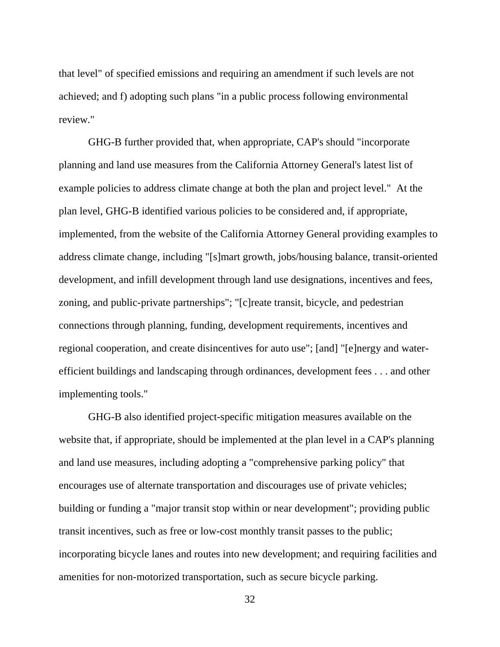that level" of specified emissions and requiring an amendment if such levels are not achieved; and f) adopting such plans "in a public process following environmental review."

GHG-B further provided that, when appropriate, CAP's should "incorporate planning and land use measures from the California Attorney General's latest list of example policies to address climate change at both the plan and project level." At the plan level, GHG-B identified various policies to be considered and, if appropriate, implemented, from the website of the California Attorney General providing examples to address climate change, including "[s]mart growth, jobs/housing balance, transit-oriented development, and infill development through land use designations, incentives and fees, zoning, and public-private partnerships"; "[c]reate transit, bicycle, and pedestrian connections through planning, funding, development requirements, incentives and regional cooperation, and create disincentives for auto use"; [and] "[e]nergy and waterefficient buildings and landscaping through ordinances, development fees . . . and other implementing tools."

GHG-B also identified project-specific mitigation measures available on the website that, if appropriate, should be implemented at the plan level in a CAP's planning and land use measures, including adopting a "comprehensive parking policy" that encourages use of alternate transportation and discourages use of private vehicles; building or funding a "major transit stop within or near development"; providing public transit incentives, such as free or low-cost monthly transit passes to the public; incorporating bicycle lanes and routes into new development; and requiring facilities and amenities for non-motorized transportation, such as secure bicycle parking.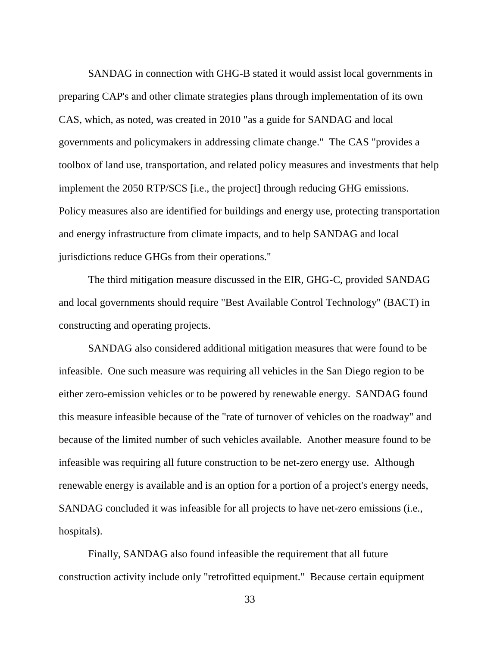SANDAG in connection with GHG-B stated it would assist local governments in preparing CAP's and other climate strategies plans through implementation of its own CAS, which, as noted, was created in 2010 "as a guide for SANDAG and local governments and policymakers in addressing climate change." The CAS "provides a toolbox of land use, transportation, and related policy measures and investments that help implement the 2050 RTP/SCS [i.e., the project] through reducing GHG emissions. Policy measures also are identified for buildings and energy use, protecting transportation and energy infrastructure from climate impacts, and to help SANDAG and local jurisdictions reduce GHGs from their operations."

The third mitigation measure discussed in the EIR, GHG-C, provided SANDAG and local governments should require "Best Available Control Technology" (BACT) in constructing and operating projects.

SANDAG also considered additional mitigation measures that were found to be infeasible. One such measure was requiring all vehicles in the San Diego region to be either zero-emission vehicles or to be powered by renewable energy. SANDAG found this measure infeasible because of the "rate of turnover of vehicles on the roadway" and because of the limited number of such vehicles available. Another measure found to be infeasible was requiring all future construction to be net-zero energy use. Although renewable energy is available and is an option for a portion of a project's energy needs, SANDAG concluded it was infeasible for all projects to have net-zero emissions (i.e., hospitals).

Finally, SANDAG also found infeasible the requirement that all future construction activity include only "retrofitted equipment." Because certain equipment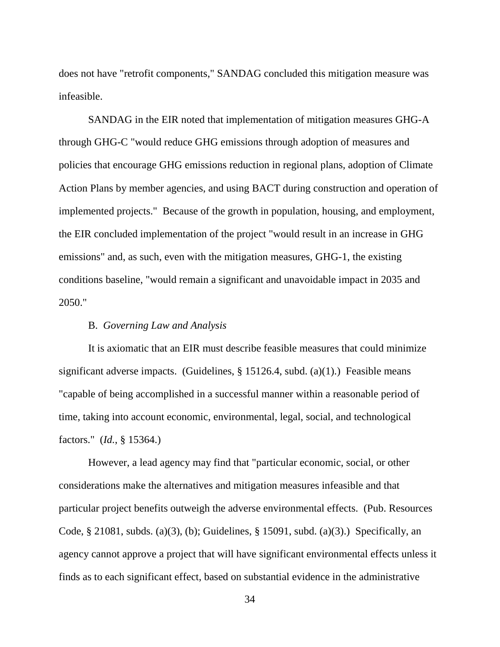does not have "retrofit components," SANDAG concluded this mitigation measure was infeasible.

SANDAG in the EIR noted that implementation of mitigation measures GHG-A through GHG-C "would reduce GHG emissions through adoption of measures and policies that encourage GHG emissions reduction in regional plans, adoption of Climate Action Plans by member agencies, and using BACT during construction and operation of implemented projects." Because of the growth in population, housing, and employment, the EIR concluded implementation of the project "would result in an increase in GHG emissions" and, as such, even with the mitigation measures, GHG-1, the existing conditions baseline, "would remain a significant and unavoidable impact in 2035 and 2050."

## B. *Governing Law and Analysis*

It is axiomatic that an EIR must describe feasible measures that could minimize significant adverse impacts. (Guidelines, § 15126.4, subd. (a)(1).) Feasible means "capable of being accomplished in a successful manner within a reasonable period of time, taking into account economic, environmental, legal, social, and technological factors." (*Id.*, § 15364.)

However, a lead agency may find that "particular economic, social, or other considerations make the alternatives and mitigation measures infeasible and that particular project benefits outweigh the adverse environmental effects. (Pub. Resources Code, § 21081, subds. (a)(3), (b); Guidelines, § 15091, subd. (a)(3).) Specifically, an agency cannot approve a project that will have significant environmental effects unless it finds as to each significant effect, based on substantial evidence in the administrative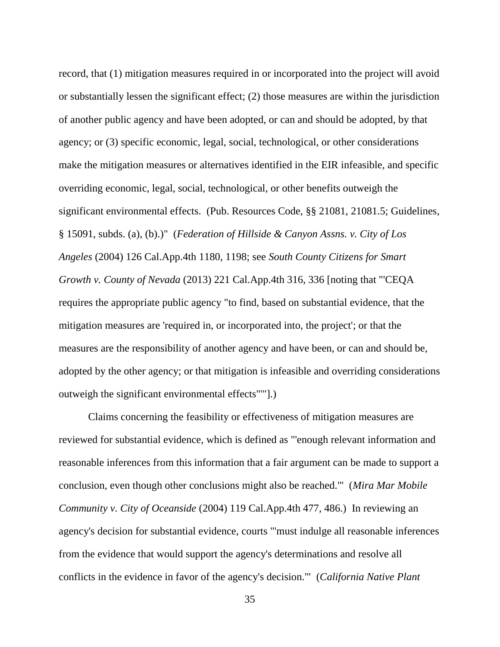record, that (1) mitigation measures required in or incorporated into the project will avoid or substantially lessen the significant effect; (2) those measures are within the jurisdiction of another public agency and have been adopted, or can and should be adopted, by that agency; or (3) specific economic, legal, social, technological, or other considerations make the mitigation measures or alternatives identified in the EIR infeasible, and specific overriding economic, legal, social, technological, or other benefits outweigh the significant environmental effects. (Pub. Resources Code, §§ 21081, 21081.5; Guidelines, § 15091, subds. (a), (b).)" (*Federation of Hillside & Canyon Assns. v. City of Los Angeles* (2004) 126 Cal.App.4th 1180, 1198; see *South County Citizens for Smart Growth v. County of Nevada* (2013) 221 Cal.App.4th 316, 336 [noting that "'CEQA requires the appropriate public agency "to find, based on substantial evidence, that the mitigation measures are 'required in, or incorporated into, the project'; or that the measures are the responsibility of another agency and have been, or can and should be, adopted by the other agency; or that mitigation is infeasible and overriding considerations outweigh the significant environmental effects"'"].)

Claims concerning the feasibility or effectiveness of mitigation measures are reviewed for substantial evidence, which is defined as "'enough relevant information and reasonable inferences from this information that a fair argument can be made to support a conclusion, even though other conclusions might also be reached.'" (*Mira Mar Mobile Community v. City of Oceanside* (2004) 119 Cal.App.4th 477, 486.) In reviewing an agency's decision for substantial evidence, courts "'must indulge all reasonable inferences from the evidence that would support the agency's determinations and resolve all conflicts in the evidence in favor of the agency's decision.'" (*California Native Plant*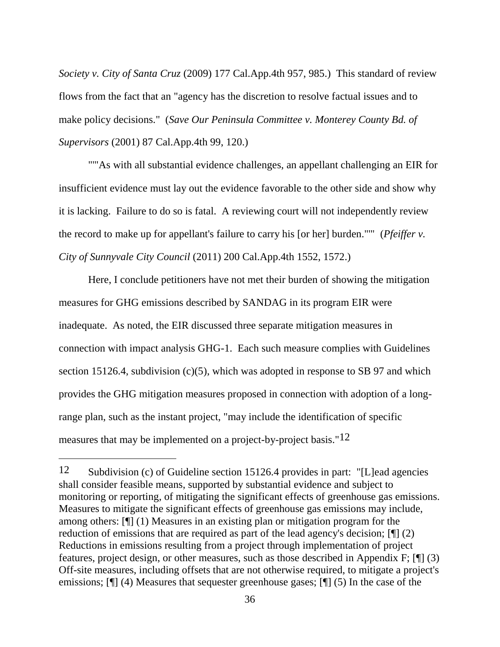*Society v. City of Santa Cruz* (2009) 177 Cal.App.4th 957, 985.) This standard of review flows from the fact that an "agency has the discretion to resolve factual issues and to make policy decisions." (*Save Our Peninsula Committee v. Monterey County Bd. of Supervisors* (2001) 87 Cal.App.4th 99, 120.)

""As with all substantial evidence challenges, an appellant challenging an EIR for insufficient evidence must lay out the evidence favorable to the other side and show why it is lacking. Failure to do so is fatal. A reviewing court will not independently review the record to make up for appellant's failure to carry his [or her] burden."'" (*Pfeiffer v. City of Sunnyvale City Council* (2011) 200 Cal.App.4th 1552, 1572.)

Here, I conclude petitioners have not met their burden of showing the mitigation measures for GHG emissions described by SANDAG in its program EIR were inadequate. As noted, the EIR discussed three separate mitigation measures in connection with impact analysis GHG-1. Each such measure complies with Guidelines section 15126.4, subdivision  $(c)(5)$ , which was adopted in response to SB 97 and which provides the GHG mitigation measures proposed in connection with adoption of a longrange plan, such as the instant project, "may include the identification of specific measures that may be implemented on a project-by-project basis."12

 $\overline{a}$ 

<sup>12</sup> Subdivision (c) of Guideline section 15126.4 provides in part: "[L]ead agencies shall consider feasible means, supported by substantial evidence and subject to monitoring or reporting, of mitigating the significant effects of greenhouse gas emissions. Measures to mitigate the significant effects of greenhouse gas emissions may include, among others: [¶] (1) Measures in an existing plan or mitigation program for the reduction of emissions that are required as part of the lead agency's decision; [¶] (2) Reductions in emissions resulting from a project through implementation of project features, project design, or other measures, such as those described in Appendix F; [¶] (3) Off-site measures, including offsets that are not otherwise required, to mitigate a project's emissions; [¶] (4) Measures that sequester greenhouse gases; [¶] (5) In the case of the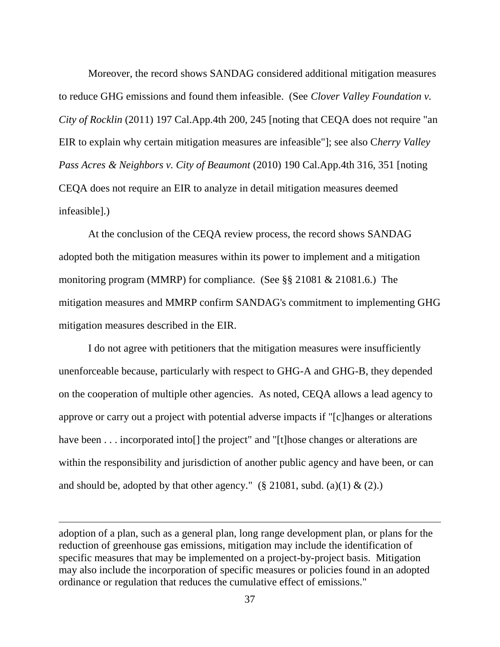Moreover, the record shows SANDAG considered additional mitigation measures to reduce GHG emissions and found them infeasible. (See *Clover Valley Foundation v. City of Rocklin* (2011) 197 Cal.App.4th 200, 245 [noting that CEQA does not require "an EIR to explain why certain mitigation measures are infeasible"]; see also C*herry Valley Pass Acres & Neighbors v. City of Beaumont* (2010) 190 Cal.App.4th 316, 351 [noting CEQA does not require an EIR to analyze in detail mitigation measures deemed infeasible].)

At the conclusion of the CEQA review process, the record shows SANDAG adopted both the mitigation measures within its power to implement and a mitigation monitoring program (MMRP) for compliance. (See §§ 21081 & 21081.6.) The mitigation measures and MMRP confirm SANDAG's commitment to implementing GHG mitigation measures described in the EIR.

I do not agree with petitioners that the mitigation measures were insufficiently unenforceable because, particularly with respect to GHG-A and GHG-B, they depended on the cooperation of multiple other agencies. As noted, CEQA allows a lead agency to approve or carry out a project with potential adverse impacts if "[c]hanges or alterations have been . . . incorporated into[] the project" and "[t]hose changes or alterations are within the responsibility and jurisdiction of another public agency and have been, or can and should be, adopted by that other agency." (§ 21081, subd. (a)(1)  $\&$  (2).)

adoption of a plan, such as a general plan, long range development plan, or plans for the reduction of greenhouse gas emissions, mitigation may include the identification of specific measures that may be implemented on a project-by-project basis. Mitigation may also include the incorporation of specific measures or policies found in an adopted ordinance or regulation that reduces the cumulative effect of emissions."